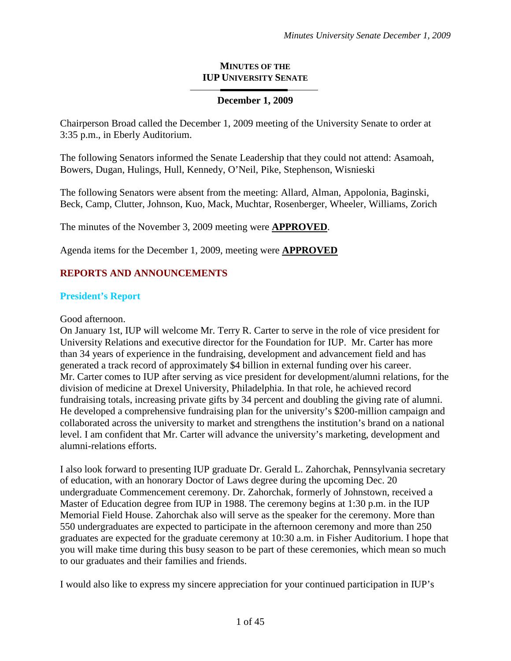#### **MINUTES OF THE IUP UNIVERSITY SENATE**

#### **December 1, 2009**

Chairperson Broad called the December 1, 2009 meeting of the University Senate to order at 3:35 p.m., in Eberly Auditorium.

The following Senators informed the Senate Leadership that they could not attend: Asamoah, Bowers, Dugan, Hulings, Hull, Kennedy, O'Neil, Pike, Stephenson, Wisnieski

The following Senators were absent from the meeting: Allard, Alman, Appolonia, Baginski, Beck, Camp, Clutter, Johnson, Kuo, Mack, Muchtar, Rosenberger, Wheeler, Williams, Zorich

The minutes of the November 3, 2009 meeting were **APPROVED**.

Agenda items for the December 1, 2009, meeting were **APPROVED**

### **REPORTS AND ANNOUNCEMENTS**

#### **President's Report**

Good afternoon.

On January 1st, IUP will welcome Mr. Terry R. Carter to serve in the role of vice president for University Relations and executive director for the Foundation for IUP. Mr. Carter has more than 34 years of experience in the fundraising, development and advancement field and has generated a track record of approximately \$4 billion in external funding over his career. Mr. Carter comes to IUP after serving as vice president for development/alumni relations, for the division of medicine at Drexel University, Philadelphia. In that role, he achieved record fundraising totals, increasing private gifts by 34 percent and doubling the giving rate of alumni. He developed a comprehensive fundraising plan for the university's \$200-million campaign and collaborated across the university to market and strengthens the institution's brand on a national level. I am confident that Mr. Carter will advance the university's marketing, development and alumni-relations efforts.

I also look forward to presenting IUP graduate Dr. Gerald L. Zahorchak, Pennsylvania secretary of education, with an honorary Doctor of Laws degree during the upcoming Dec. 20 undergraduate Commencement ceremony. Dr. Zahorchak, formerly of Johnstown, received a Master of Education degree from IUP in 1988. The ceremony begins at 1:30 p.m. in the IUP Memorial Field House. Zahorchak also will serve as the speaker for the ceremony. More than 550 undergraduates are expected to participate in the afternoon ceremony and more than 250 graduates are expected for the graduate ceremony at 10:30 a.m. in Fisher Auditorium. I hope that you will make time during this busy season to be part of these ceremonies, which mean so much to our graduates and their families and friends.

I would also like to express my sincere appreciation for your continued participation in IUP's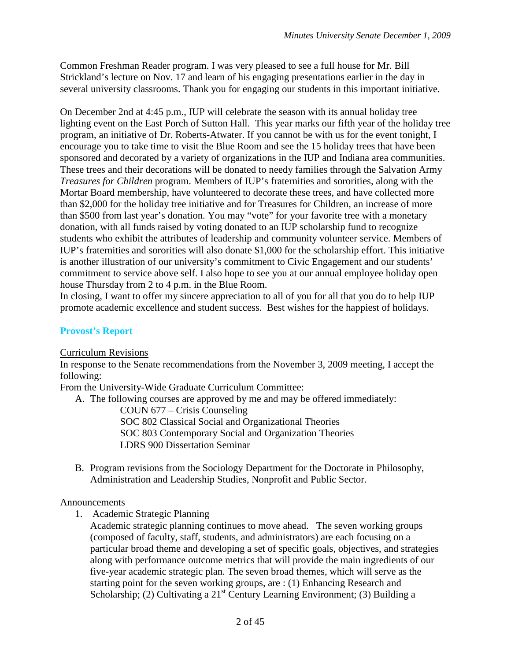Common Freshman Reader program. I was very pleased to see a full house for Mr. Bill Strickland's lecture on Nov. 17 and learn of his engaging presentations earlier in the day in several university classrooms. Thank you for engaging our students in this important initiative.

On December 2nd at 4:45 p.m., IUP will celebrate the season with its annual holiday tree lighting event on the East Porch of Sutton Hall. This year marks our fifth year of the holiday tree program, an initiative of Dr. Roberts-Atwater. If you cannot be with us for the event tonight, I encourage you to take time to visit the Blue Room and see the 15 holiday trees that have been sponsored and decorated by a variety of organizations in the IUP and Indiana area communities. These trees and their decorations will be donated to needy families through the Salvation Army *Treasures for Children* program. Members of IUP's fraternities and sororities, along with the Mortar Board membership, have volunteered to decorate these trees, and have collected more than \$2,000 for the holiday tree initiative and for Treasures for Children, an increase of more than \$500 from last year's donation. You may "vote" for your favorite tree with a monetary donation, with all funds raised by voting donated to an IUP scholarship fund to recognize students who exhibit the attributes of leadership and community volunteer service. Members of IUP's fraternities and sororities will also donate \$1,000 for the scholarship effort. This initiative is another illustration of our university's commitment to Civic Engagement and our students' commitment to service above self. I also hope to see you at our annual employee holiday open house Thursday from 2 to 4 p.m. in the Blue Room.

In closing, I want to offer my sincere appreciation to all of you for all that you do to help IUP promote academic excellence and student success. Best wishes for the happiest of holidays.

### **Provost's Report**

Curriculum Revisions

In response to the Senate recommendations from the November 3, 2009 meeting, I accept the following:

From the University-Wide Graduate Curriculum Committee:

A. The following courses are approved by me and may be offered immediately:

COUN 677 – Crisis Counseling SOC 802 Classical Social and Organizational Theories SOC 803 Contemporary Social and Organization Theories LDRS 900 Dissertation Seminar

B. Program revisions from the Sociology Department for the Doctorate in Philosophy, Administration and Leadership Studies, Nonprofit and Public Sector.

### Announcements

1. Academic Strategic Planning

Academic strategic planning continues to move ahead. The seven working groups (composed of faculty, staff, students, and administrators) are each focusing on a particular broad theme and developing a set of specific goals, objectives, and strategies along with performance outcome metrics that will provide the main ingredients of our five-year academic strategic plan. The seven broad themes, which will serve as the starting point for the seven working groups, are : (1) Enhancing Research and Scholarship; (2) Cultivating a  $21<sup>st</sup>$  Century Learning Environment; (3) Building a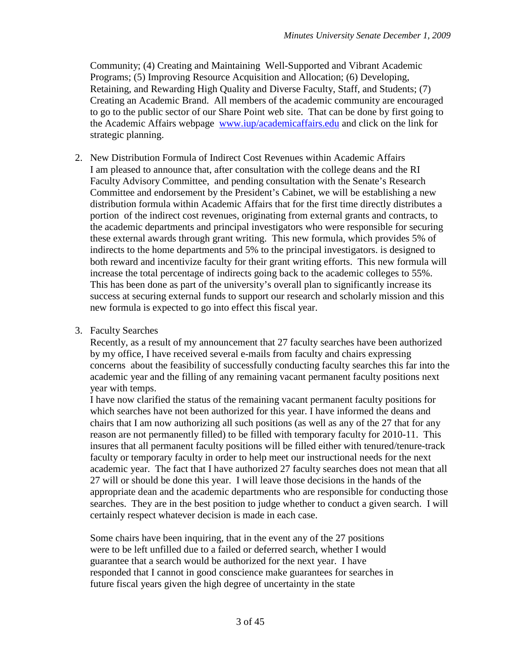Community; (4) Creating and Maintaining Well-Supported and Vibrant Academic Programs; (5) Improving Resource Acquisition and Allocation; (6) Developing, Retaining, and Rewarding High Quality and Diverse Faculty, Staff, and Students; (7) Creating an Academic Brand. All members of the academic community are encouraged to go to the public sector of our Share Point web site. That can be done by first going to the Academic Affairs webpage [www.iup/academicaffairs.edu](http://www.iup/academicaffairs.edu) and click on the link for strategic planning.

- 2. New Distribution Formula of Indirect Cost Revenues within Academic Affairs I am pleased to announce that, after consultation with the college deans and the RI Faculty Advisory Committee, and pending consultation with the Senate's Research Committee and endorsement by the President's Cabinet, we will be establishing a new distribution formula within Academic Affairs that for the first time directly distributes a portion of the indirect cost revenues, originating from external grants and contracts, to the academic departments and principal investigators who were responsible for securing these external awards through grant writing. This new formula, which provides 5% of indirects to the home departments and 5% to the principal investigators. is designed to both reward and incentivize faculty for their grant writing efforts. This new formula will increase the total percentage of indirects going back to the academic colleges to 55%. This has been done as part of the university's overall plan to significantly increase its success at securing external funds to support our research and scholarly mission and this new formula is expected to go into effect this fiscal year.
- 3. Faculty Searches

Recently, as a result of my announcement that 27 faculty searches have been authorized by my office, I have received several e-mails from faculty and chairs expressing concerns about the feasibility of successfully conducting faculty searches this far into the academic year and the filling of any remaining vacant permanent faculty positions next year with temps.

I have now clarified the status of the remaining vacant permanent faculty positions for which searches have not been authorized for this year. I have informed the deans and chairs that I am now authorizing all such positions (as well as any of the 27 that for any reason are not permanently filled) to be filled with temporary faculty for 2010-11. This insures that all permanent faculty positions will be filled either with tenured/tenure-track faculty or temporary faculty in order to help meet our instructional needs for the next academic year. The fact that I have authorized 27 faculty searches does not mean that all 27 will or should be done this year. I will leave those decisions in the hands of the appropriate dean and the academic departments who are responsible for conducting those searches. They are in the best position to judge whether to conduct a given search. I will certainly respect whatever decision is made in each case.

Some chairs have been inquiring, that in the event any of the 27 positions were to be left unfilled due to a failed or deferred search, whether I would guarantee that a search would be authorized for the next year. I have responded that I cannot in good conscience make guarantees for searches in future fiscal years given the high degree of uncertainty in the state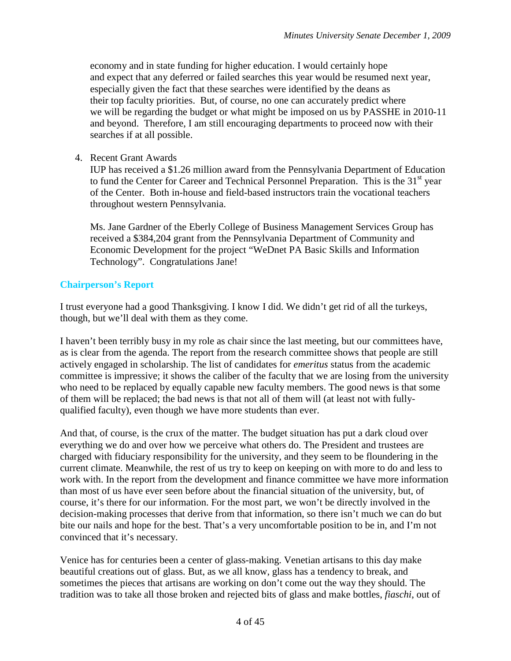economy and in state funding for higher education. I would certainly hope and expect that any deferred or failed searches this year would be resumed next year, especially given the fact that these searches were identified by the deans as their top faculty priorities. But, of course, no one can accurately predict where we will be regarding the budget or what might be imposed on us by PASSHE in 2010-11 and beyond. Therefore, I am still encouraging departments to proceed now with their searches if at all possible.

4. Recent Grant Awards

IUP has received a \$1.26 million award from the Pennsylvania Department of Education to fund the Center for Career and Technical Personnel Preparation. This is the 31<sup>st</sup> year of the Center. Both in-house and field-based instructors train the vocational teachers throughout western Pennsylvania.

Ms. Jane Gardner of the Eberly College of Business Management Services Group has received a \$384,204 grant from the Pennsylvania Department of Community and Economic Development for the project "WeDnet PA Basic Skills and Information Technology". Congratulations Jane!

### **Chairperson's Report**

I trust everyone had a good Thanksgiving. I know I did. We didn't get rid of all the turkeys, though, but we'll deal with them as they come.

I haven't been terribly busy in my role as chair since the last meeting, but our committees have, as is clear from the agenda. The report from the research committee shows that people are still actively engaged in scholarship. The list of candidates for *emeritus* status from the academic committee is impressive; it shows the caliber of the faculty that we are losing from the university who need to be replaced by equally capable new faculty members. The good news is that some of them will be replaced; the bad news is that not all of them will (at least not with fullyqualified faculty), even though we have more students than ever.

And that, of course, is the crux of the matter. The budget situation has put a dark cloud over everything we do and over how we perceive what others do. The President and trustees are charged with fiduciary responsibility for the university, and they seem to be floundering in the current climate. Meanwhile, the rest of us try to keep on keeping on with more to do and less to work with. In the report from the development and finance committee we have more information than most of us have ever seen before about the financial situation of the university, but, of course, it's there for our information. For the most part, we won't be directly involved in the decision-making processes that derive from that information, so there isn't much we can do but bite our nails and hope for the best. That's a very uncomfortable position to be in, and I'm not convinced that it's necessary.

Venice has for centuries been a center of glass-making. Venetian artisans to this day make beautiful creations out of glass. But, as we all know, glass has a tendency to break, and sometimes the pieces that artisans are working on don't come out the way they should. The tradition was to take all those broken and rejected bits of glass and make bottles, *fiaschi*, out of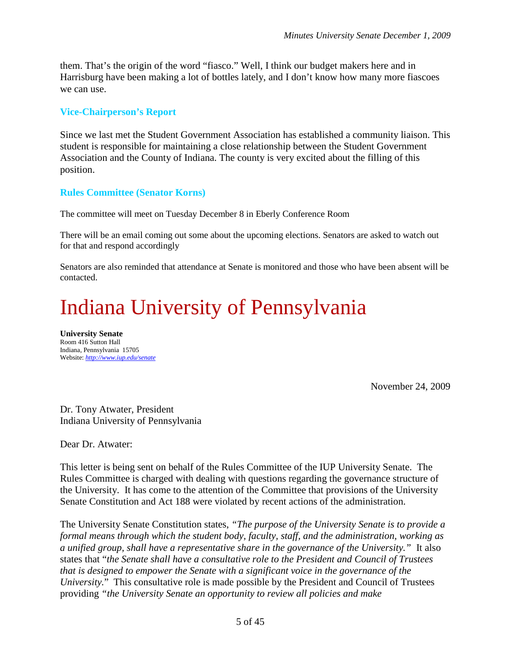them. That's the origin of the word "fiasco." Well, I think our budget makers here and in Harrisburg have been making a lot of bottles lately, and I don't know how many more fiascoes we can use.

#### **Vice-Chairperson's Report**

Since we last met the Student Government Association has established a community liaison. This student is responsible for maintaining a close relationship between the Student Government Association and the County of Indiana. The county is very excited about the filling of this position.

#### **Rules Committee (Senator Korns)**

The committee will meet on Tuesday December 8 in Eberly Conference Room

There will be an email coming out some about the upcoming elections. Senators are asked to watch out for that and respond accordingly

Senators are also reminded that attendance at Senate is monitored and those who have been absent will be contacted.

# Indiana University of Pennsylvania

**University Senate** Room 416 Sutton Hall Indiana, Pennsylvania 15705 Website: *<http://www.iup.edu/senate>*

November 24, 2009

Dr. Tony Atwater, President Indiana University of Pennsylvania

Dear Dr. Atwater:

This letter is being sent on behalf of the Rules Committee of the IUP University Senate. The Rules Committee is charged with dealing with questions regarding the governance structure of the University. It has come to the attention of the Committee that provisions of the University Senate Constitution and Act 188 were violated by recent actions of the administration.

The University Senate Constitution states, *"The purpose of the University Senate is to provide a formal means through which the student body, faculty, staff, and the administration, working as a unified group, shall have a representative share in the governance of the University."* It also states that "*the Senate shall have a consultative role to the President and Council of Trustees that is designed to empower the Senate with a significant voice in the governance of the University.*" This consultative role is made possible by the President and Council of Trustees providing *"the University Senate an opportunity to review all policies and make*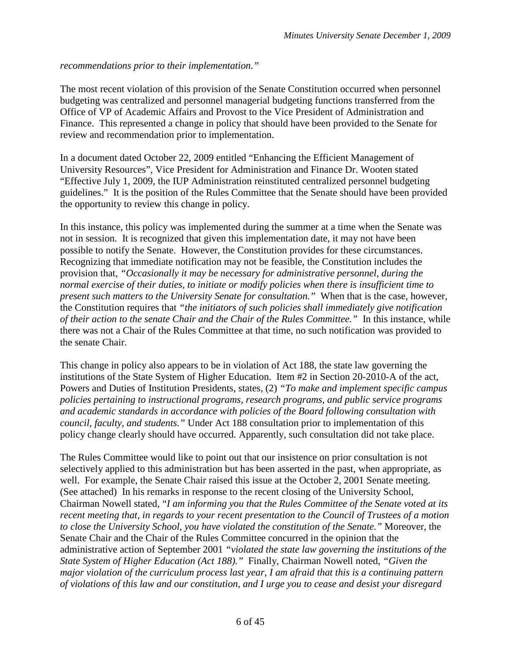*recommendations prior to their implementation."*

The most recent violation of this provision of the Senate Constitution occurred when personnel budgeting was centralized and personnel managerial budgeting functions transferred from the Office of VP of Academic Affairs and Provost to the Vice President of Administration and Finance. This represented a change in policy that should have been provided to the Senate for review and recommendation prior to implementation.

In a document dated October 22, 2009 entitled "Enhancing the Efficient Management of University Resources", Vice President for Administration and Finance Dr. Wooten stated "Effective July 1, 2009, the IUP Administration reinstituted centralized personnel budgeting guidelines." It is the position of the Rules Committee that the Senate should have been provided the opportunity to review this change in policy.

In this instance, this policy was implemented during the summer at a time when the Senate was not in session. It is recognized that given this implementation date, it may not have been possible to notify the Senate. However, the Constitution provides for these circumstances. Recognizing that immediate notification may not be feasible, the Constitution includes the provision that, *"Occasionally it may be necessary for administrative personnel, during the normal exercise of their duties, to initiate or modify policies when there is insufficient time to present such matters to the University Senate for consultation."* When that is the case, however, the Constitution requires that *"the initiators of such policies shall immediately give notification of their action to the senate Chair and the Chair of the Rules Committee."* In this instance, while there was not a Chair of the Rules Committee at that time, no such notification was provided to the senate Chair.

This change in policy also appears to be in violation of Act 188, the state law governing the institutions of the State System of Higher Education. Item #2 in Section 20-2010-A of the act, Powers and Duties of Institution Presidents, states, (2) *"To make and implement specific campus policies pertaining to instructional programs, research programs, and public service programs and academic standards in accordance with policies of the Board following consultation with council, faculty, and students."* Under Act 188 consultation prior to implementation of this policy change clearly should have occurred. Apparently, such consultation did not take place.

The Rules Committee would like to point out that our insistence on prior consultation is not selectively applied to this administration but has been asserted in the past, when appropriate, as well. For example, the Senate Chair raised this issue at the October 2, 2001 Senate meeting. (See attached) In his remarks in response to the recent closing of the University School, Chairman Nowell stated, "*I am informing you that the Rules Committee of the Senate voted at its recent meeting that, in regards to your recent presentation to the Council of Trustees of a motion to close the University School, you have violated the constitution of the Senate."* Moreover, the Senate Chair and the Chair of the Rules Committee concurred in the opinion that the administrative action of September 2001 *"violated the state law governing the institutions of the State System of Higher Education (Act 188)."* Finally, Chairman Nowell noted, *"Given the major violation of the curriculum process last year, I am afraid that this is a continuing pattern of violations of this law and our constitution, and I urge you to cease and desist your disregard*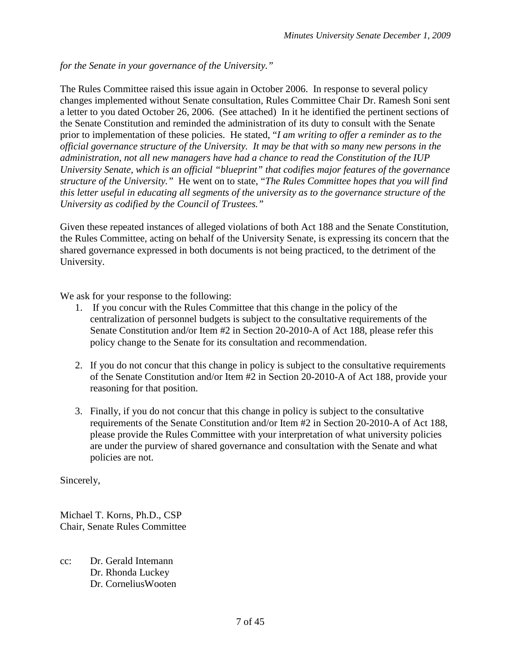*for the Senate in your governance of the University."*

The Rules Committee raised this issue again in October 2006. In response to several policy changes implemented without Senate consultation, Rules Committee Chair Dr. Ramesh Soni sent a letter to you dated October 26, 2006. (See attached) In it he identified the pertinent sections of the Senate Constitution and reminded the administration of its duty to consult with the Senate prior to implementation of these policies. He stated, "*I am writing to offer a reminder as to the official governance structure of the University. It may be that with so many new persons in the administration, not all new managers have had a chance to read the Constitution of the IUP University Senate, which is an official "blueprint" that codifies major features of the governance structure of the University."* He went on to state, "*The Rules Committee hopes that you will find this letter useful in educating all segments of the university as to the governance structure of the University as codified by the Council of Trustees."*

Given these repeated instances of alleged violations of both Act 188 and the Senate Constitution, the Rules Committee, acting on behalf of the University Senate, is expressing its concern that the shared governance expressed in both documents is not being practiced, to the detriment of the University.

We ask for your response to the following:

- 1. If you concur with the Rules Committee that this change in the policy of the centralization of personnel budgets is subject to the consultative requirements of the Senate Constitution and/or Item #2 in Section 20-2010-A of Act 188, please refer this policy change to the Senate for its consultation and recommendation.
- 2. If you do not concur that this change in policy is subject to the consultative requirements of the Senate Constitution and/or Item #2 in Section 20-2010-A of Act 188, provide your reasoning for that position.
- 3. Finally, if you do not concur that this change in policy is subject to the consultative requirements of the Senate Constitution and/or Item #2 in Section 20-2010-A of Act 188, please provide the Rules Committee with your interpretation of what university policies are under the purview of shared governance and consultation with the Senate and what policies are not.

Sincerely,

Michael T. Korns, Ph.D., CSP Chair, Senate Rules Committee

cc: Dr. Gerald Intemann Dr. Rhonda Luckey Dr. CorneliusWooten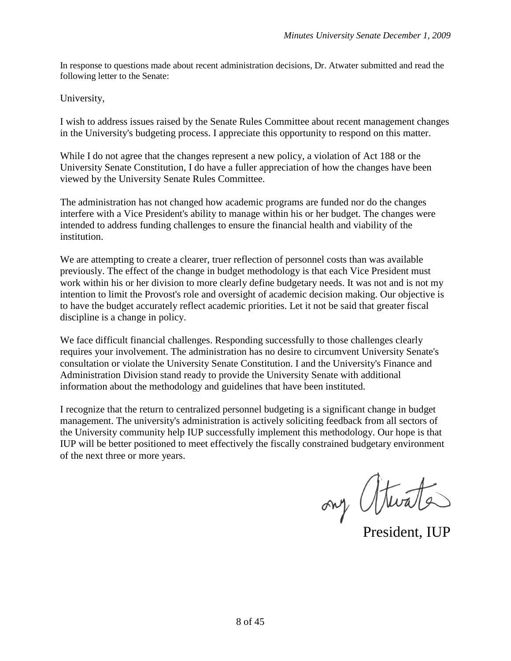In response to questions made about recent administration decisions, Dr. Atwater submitted and read the following letter to the Senate:

University,

I wish to address issues raised by the Senate Rules Committee about recent management changes in the University's budgeting process. I appreciate this opportunity to respond on this matter.

While I do not agree that the changes represent a new policy, a violation of Act 188 or the University Senate Constitution, I do have a fuller appreciation of how the changes have been viewed by the University Senate Rules Committee.

The administration has not changed how academic programs are funded nor do the changes interfere with a Vice President's ability to manage within his or her budget. The changes were intended to address funding challenges to ensure the financial health and viability of the institution.

We are attempting to create a clearer, truer reflection of personnel costs than was available previously. The effect of the change in budget methodology is that each Vice President must work within his or her division to more clearly define budgetary needs. It was not and is not my intention to limit the Provost's role and oversight of academic decision making. Our objective is to have the budget accurately reflect academic priorities. Let it not be said that greater fiscal discipline is a change in policy.

We face difficult financial challenges. Responding successfully to those challenges clearly requires your involvement. The administration has no desire to circumvent University Senate's consultation or violate the University Senate Constitution. I and the University's Finance and Administration Division stand ready to provide the University Senate with additional information about the methodology and guidelines that have been instituted.

I recognize that the return to centralized personnel budgeting is a significant change in budget management. The university's administration is actively soliciting feedback from all sectors of the University community help IUP successfully implement this methodology. Our hope is that IUP will be better positioned to meet effectively the fiscally constrained budgetary environment of the next three or more years.

ony (Hurate)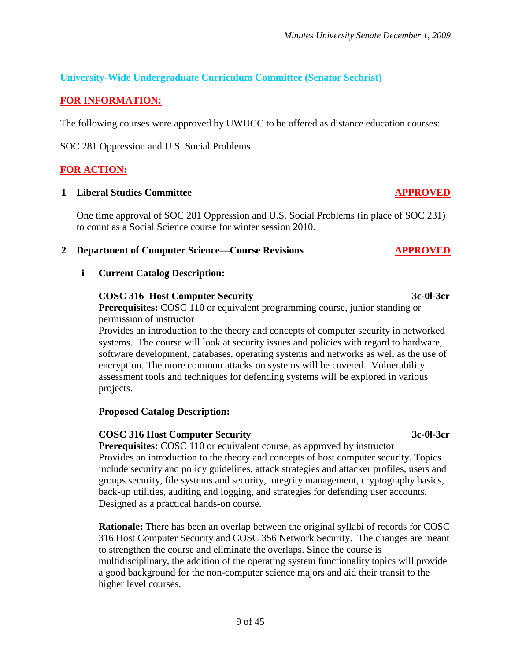**University-Wide Undergraduate Curriculum Committee (Senator Sechrist)**

## **FOR INFORMATION:**

The following courses were approved by UWUCC to be offered as distance education courses:

SOC 281 Oppression and U.S. Social Problems

## **FOR ACTION:**

## **1 Liberal Studies Committee APPROVED**

One time approval of SOC 281 Oppression and U.S. Social Problems (in place of SOC 231) to count as a Social Science course for winter session 2010.

## **2 Department of Computer Science—Course Revisions APPROVED**

## **i Current Catalog Description:**

## **COSC 316 Host Computer Security 3c-0l-3cr**

**Prerequisites:** COSC 110 or equivalent programming course, junior standing or permission of instructor

Provides an introduction to the theory and concepts of computer security in networked systems. The course will look at security issues and policies with regard to hardware, software development, databases, operating systems and networks as well as the use of encryption. The more common attacks on systems will be covered. Vulnerability assessment tools and techniques for defending systems will be explored in various projects.

## **Proposed Catalog Description:**

## **COSC 316 Host Computer Security 3c-0l-3cr**

**Prerequisites:** COSC 110 or equivalent course, as approved by instructor Provides an introduction to the theory and concepts of host computer security. Topics include security and policy guidelines, attack strategies and attacker profiles, users and groups security, file systems and security, integrity management, cryptography basics, back-up utilities, auditing and logging, and strategies for defending user accounts. Designed as a practical hands-on course.

**Rationale:** There has been an overlap between the original syllabi of records for COSC 316 Host Computer Security and COSC 356 Network Security. The changes are meant to strengthen the course and eliminate the overlaps. Since the course is multidisciplinary, the addition of the operating system functionality topics will provide a good background for the non-computer science majors and aid their transit to the higher level courses.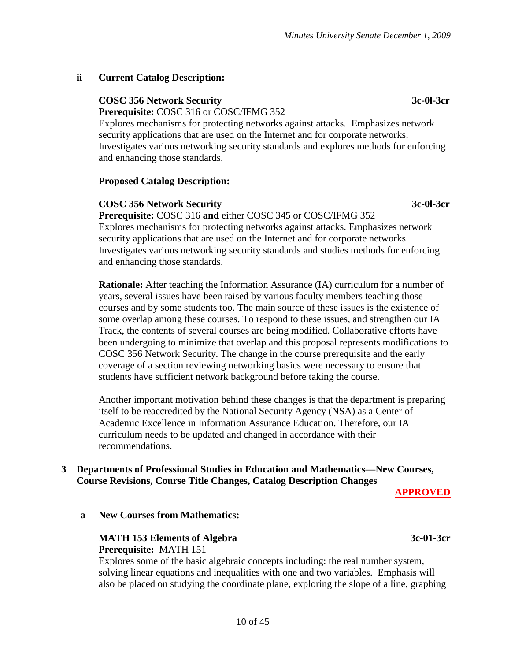#### **ii Current Catalog Description:**

## **COSC 356 Network Security 3c-0l-3cr**

**Prerequisite:** COSC 316 or COSC/IFMG 352

Explores mechanisms for protecting networks against attacks. Emphasizes network security applications that are used on the Internet and for corporate networks. Investigates various networking security standards and explores methods for enforcing and enhancing those standards.

#### **Proposed Catalog Description:**

#### **COSC 356 Network Security 3c-0l-3cr**

**Prerequisite:** COSC 316 **and** either COSC 345 or COSC/IFMG 352 Explores mechanisms for protecting networks against attacks. Emphasizes network security applications that are used on the Internet and for corporate networks. Investigates various networking security standards and studies methods for enforcing and enhancing those standards.

**Rationale:** After teaching the Information Assurance (IA) curriculum for a number of years, several issues have been raised by various faculty members teaching those courses and by some students too. The main source of these issues is the existence of some overlap among these courses. To respond to these issues, and strengthen our IA Track, the contents of several courses are being modified. Collaborative efforts have been undergoing to minimize that overlap and this proposal represents modifications to COSC 356 Network Security. The change in the course prerequisite and the early coverage of a section reviewing networking basics were necessary to ensure that students have sufficient network background before taking the course.

Another important motivation behind these changes is that the department is preparing itself to be reaccredited by the National Security Agency (NSA) as a Center of Academic Excellence in Information Assurance Education. Therefore, our IA curriculum needs to be updated and changed in accordance with their recommendations.

#### **3 Departments of Professional Studies in Education and Mathematics—New Courses, Course Revisions, Course Title Changes, Catalog Description Changes**

**APPROVED**

**a New Courses from Mathematics:**

#### **MATH 153 Elements of Algebra 3c-01-3cr Prerequisite:** MATH 151

Explores some of the basic algebraic concepts including: the real number system, solving linear equations and inequalities with one and two variables. Emphasis will also be placed on studying the coordinate plane, exploring the slope of a line, graphing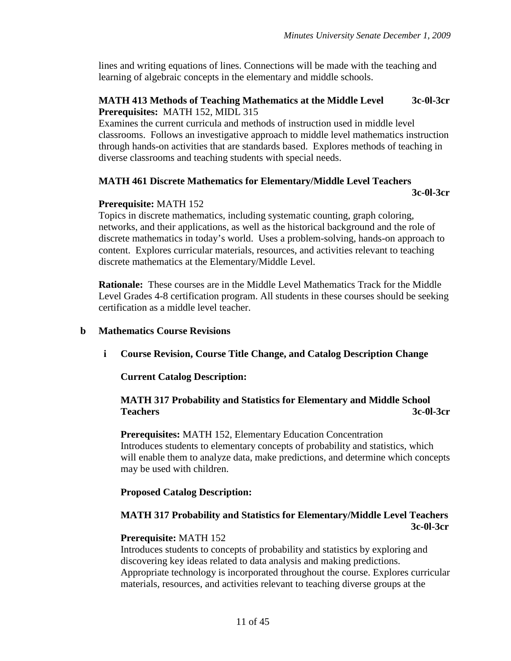lines and writing equations of lines. Connections will be made with the teaching and learning of algebraic concepts in the elementary and middle schools.

#### **MATH 413 Methods of Teaching Mathematics at the Middle Level 3c-0l-3cr Prerequisites:** MATH 152, MIDL 315

Examines the current curricula and methods of instruction used in middle level classrooms. Follows an investigative approach to middle level mathematics instruction through hands-on activities that are standards based. Explores methods of teaching in diverse classrooms and teaching students with special needs.

#### **MATH 461 Discrete Mathematics for Elementary/Middle Level Teachers**

**3c-0l-3cr**

#### **Prerequisite:** MATH 152

Topics in discrete mathematics, including systematic counting, graph coloring, networks, and their applications, as well as the historical background and the role of discrete mathematics in today's world. Uses a problem-solving, hands-on approach to content. Explores curricular materials, resources, and activities relevant to teaching discrete mathematics at the Elementary/Middle Level.

**Rationale:** These courses are in the Middle Level Mathematics Track for the Middle Level Grades 4-8 certification program. All students in these courses should be seeking certification as a middle level teacher.

#### **b Mathematics Course Revisions**

**i Course Revision, Course Title Change, and Catalog Description Change**

**Current Catalog Description:**

#### **MATH 317 Probability and Statistics for Elementary and Middle School Teachers 3c-0l-3cr**

**Prerequisites:** MATH 152, Elementary Education Concentration Introduces students to elementary concepts of probability and statistics, which will enable them to analyze data, make predictions, and determine which concepts may be used with children.

#### **Proposed Catalog Description:**

#### **MATH 317 Probability and Statistics for Elementary/Middle Level Teachers 3c-0l-3cr**

#### **Prerequisite:** MATH 152

Introduces students to concepts of probability and statistics by exploring and discovering key ideas related to data analysis and making predictions. Appropriate technology is incorporated throughout the course. Explores curricular materials, resources, and activities relevant to teaching diverse groups at the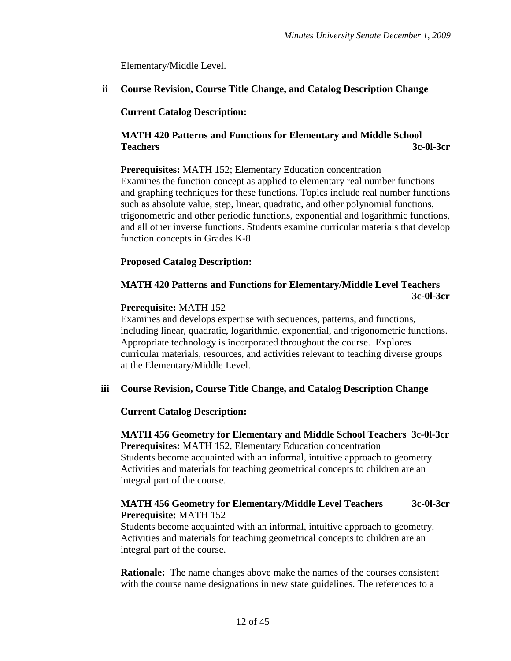Elementary/Middle Level.

**ii Course Revision, Course Title Change, and Catalog Description Change**

#### **Current Catalog Description:**

#### **MATH 420 Patterns and Functions for Elementary and Middle School Teachers 3c-0l-3cr**

**Prerequisites:** MATH 152; Elementary Education concentration Examines the function concept as applied to elementary real number functions and graphing techniques for these functions. Topics include real number functions such as absolute value, step, linear, quadratic, and other polynomial functions, trigonometric and other periodic functions, exponential and logarithmic functions, and all other inverse functions. Students examine curricular materials that develop function concepts in Grades K-8.

#### **Proposed Catalog Description:**

### **MATH 420 Patterns and Functions for Elementary/Middle Level Teachers 3c-0l-3cr**

#### **Prerequisite:** MATH 152

Examines and develops expertise with sequences, patterns, and functions, including linear, quadratic, logarithmic, exponential, and trigonometric functions. Appropriate technology is incorporated throughout the course. Explores curricular materials, resources, and activities relevant to teaching diverse groups at the Elementary/Middle Level.

#### **iii Course Revision, Course Title Change, and Catalog Description Change**

#### **Current Catalog Description:**

#### **MATH 456 Geometry for Elementary and Middle School Teachers 3c-0l-3cr Prerequisites:** MATH 152, Elementary Education concentration Students become acquainted with an informal, intuitive approach to geometry. Activities and materials for teaching geometrical concepts to children are an integral part of the course.

#### **MATH 456 Geometry for Elementary/Middle Level Teachers 3c-0l-3cr Prerequisite:** MATH 152

Students become acquainted with an informal, intuitive approach to geometry. Activities and materials for teaching geometrical concepts to children are an integral part of the course.

**Rationale:** The name changes above make the names of the courses consistent with the course name designations in new state guidelines. The references to a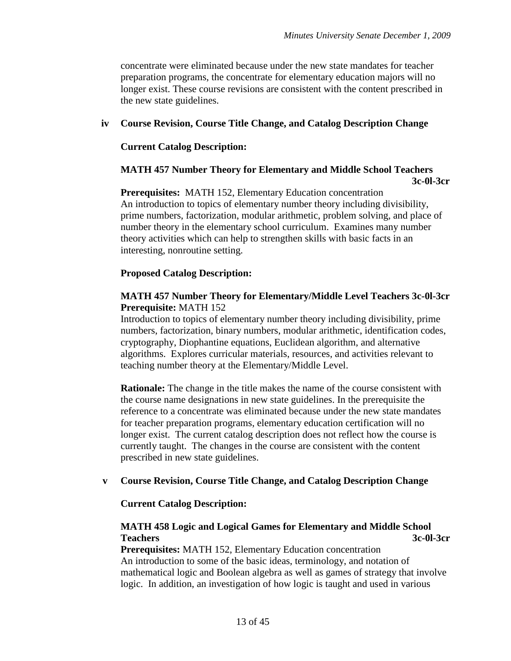concentrate were eliminated because under the new state mandates for teacher preparation programs, the concentrate for elementary education majors will no longer exist. These course revisions are consistent with the content prescribed in the new state guidelines.

#### **iv Course Revision, Course Title Change, and Catalog Description Change**

#### **Current Catalog Description:**

#### **MATH 457 Number Theory for Elementary and Middle School Teachers 3c-0l-3cr**

**Prerequisites:** MATH 152, Elementary Education concentration An introduction to topics of elementary number theory including divisibility, prime numbers, factorization, modular arithmetic, problem solving, and place of number theory in the elementary school curriculum. Examines many number theory activities which can help to strengthen skills with basic facts in an interesting, nonroutine setting.

#### **Proposed Catalog Description:**

#### **MATH 457 Number Theory for Elementary/Middle Level Teachers 3c-0l-3cr Prerequisite:** MATH 152

Introduction to topics of elementary number theory including divisibility, prime numbers, factorization, binary numbers, modular arithmetic, identification codes, cryptography, Diophantine equations, Euclidean algorithm, and alternative algorithms. Explores curricular materials, resources, and activities relevant to teaching number theory at the Elementary/Middle Level.

**Rationale:** The change in the title makes the name of the course consistent with the course name designations in new state guidelines. In the prerequisite the reference to a concentrate was eliminated because under the new state mandates for teacher preparation programs, elementary education certification will no longer exist. The current catalog description does not reflect how the course is currently taught. The changes in the course are consistent with the content prescribed in new state guidelines.

#### **v Course Revision, Course Title Change, and Catalog Description Change**

#### **Current Catalog Description:**

#### **MATH 458 Logic and Logical Games for Elementary and Middle School Teachers 3c-0l-3cr**

**Prerequisites:** MATH 152, Elementary Education concentration An introduction to some of the basic ideas, terminology, and notation of mathematical logic and Boolean algebra as well as games of strategy that involve logic. In addition, an investigation of how logic is taught and used in various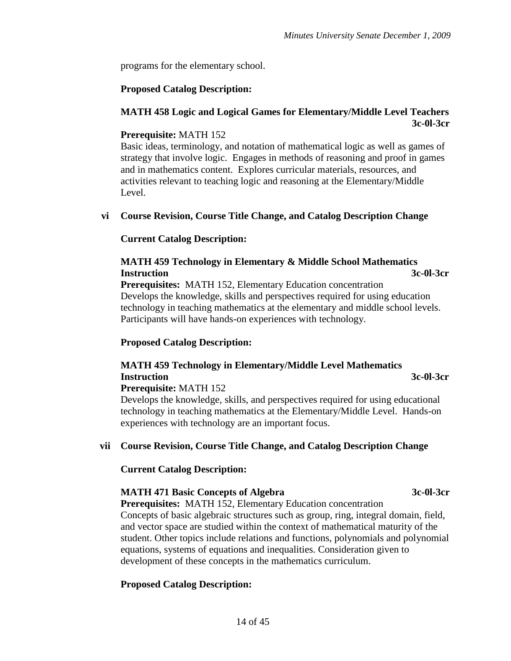programs for the elementary school.

#### **Proposed Catalog Description:**

#### **MATH 458 Logic and Logical Games for Elementary/Middle Level Teachers 3c-0l-3cr**

#### **Prerequisite:** MATH 152

Basic ideas, terminology, and notation of mathematical logic as well as games of strategy that involve logic. Engages in methods of reasoning and proof in games and in mathematics content. Explores curricular materials, resources, and activities relevant to teaching logic and reasoning at the Elementary/Middle Level.

#### **vi Course Revision, Course Title Change, and Catalog Description Change**

#### **Current Catalog Description:**

### **MATH 459 Technology in Elementary & Middle School Mathematics Instruction 3c-0l-3cr**

**Prerequisites:** MATH 152, Elementary Education concentration Develops the knowledge, skills and perspectives required for using education technology in teaching mathematics at the elementary and middle school levels. Participants will have hands-on experiences with technology.

#### **Proposed Catalog Description:**

## **MATH 459 Technology in Elementary/Middle Level Mathematics Instruction 3c-0l-3cr**

#### **Prerequisite:** MATH 152

Develops the knowledge, skills, and perspectives required for using educational technology in teaching mathematics at the Elementary/Middle Level. Hands-on experiences with technology are an important focus.

### **vii Course Revision, Course Title Change, and Catalog Description Change**

#### **Current Catalog Description:**

#### **MATH 471 Basic Concepts of Algebra 3c-0l-3cr**

**Prerequisites:** MATH 152, Elementary Education concentration Concepts of basic algebraic structures such as group, ring, integral domain, field, and vector space are studied within the context of mathematical maturity of the student. Other topics include relations and functions, polynomials and polynomial equations, systems of equations and inequalities. Consideration given to development of these concepts in the mathematics curriculum.

#### **Proposed Catalog Description:**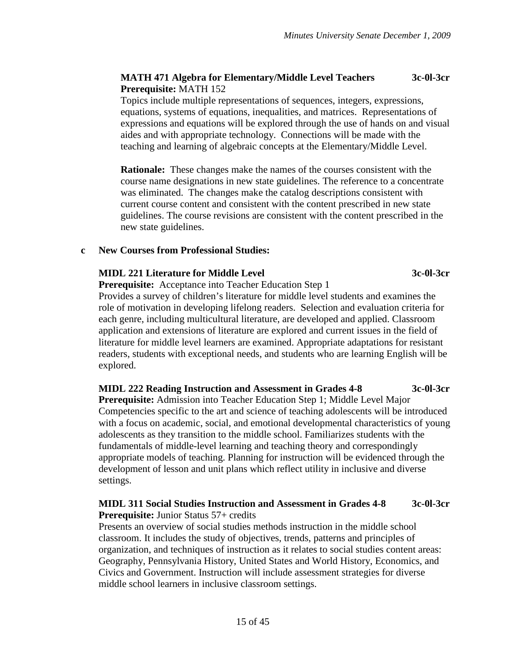#### **MATH 471 Algebra for Elementary/Middle Level Teachers 3c-0l-3cr Prerequisite:** MATH 152

Topics include multiple representations of sequences, integers, expressions, equations, systems of equations, inequalities, and matrices. Representations of expressions and equations will be explored through the use of hands on and visual aides and with appropriate technology. Connections will be made with the teaching and learning of algebraic concepts at the Elementary/Middle Level.

**Rationale:** These changes make the names of the courses consistent with the course name designations in new state guidelines. The reference to a concentrate was eliminated. The changes make the catalog descriptions consistent with current course content and consistent with the content prescribed in new state guidelines. The course revisions are consistent with the content prescribed in the new state guidelines.

#### **c New Courses from Professional Studies:**

#### **MIDL 221 Literature for Middle Level 3c-0l-3cr**

**Prerequisite:** Acceptance into Teacher Education Step 1

Provides a survey of children's literature for middle level students and examines the role of motivation in developing lifelong readers. Selection and evaluation criteria for each genre, including multicultural literature, are developed and applied. Classroom application and extensions of literature are explored and current issues in the field of literature for middle level learners are examined. Appropriate adaptations for resistant readers, students with exceptional needs, and students who are learning English will be explored.

#### **MIDL 222 Reading Instruction and Assessment in Grades 4-8 3c-0l-3cr**

**Prerequisite:** Admission into Teacher Education Step 1; Middle Level Major Competencies specific to the art and science of teaching adolescents will be introduced with a focus on academic, social, and emotional developmental characteristics of young adolescents as they transition to the middle school. Familiarizes students with the fundamentals of middle-level learning and teaching theory and correspondingly appropriate models of teaching. Planning for instruction will be evidenced through the development of lesson and unit plans which reflect utility in inclusive and diverse settings.

#### **MIDL 311 Social Studies Instruction and Assessment in Grades 4-8 3c-0l-3cr Prerequisite:** Junior Status 57+ credits

Presents an overview of social studies methods instruction in the middle school classroom. It includes the study of objectives, trends, patterns and principles of organization, and techniques of instruction as it relates to social studies content areas: Geography, Pennsylvania History, United States and World History, Economics, and Civics and Government. Instruction will include assessment strategies for diverse middle school learners in inclusive classroom settings.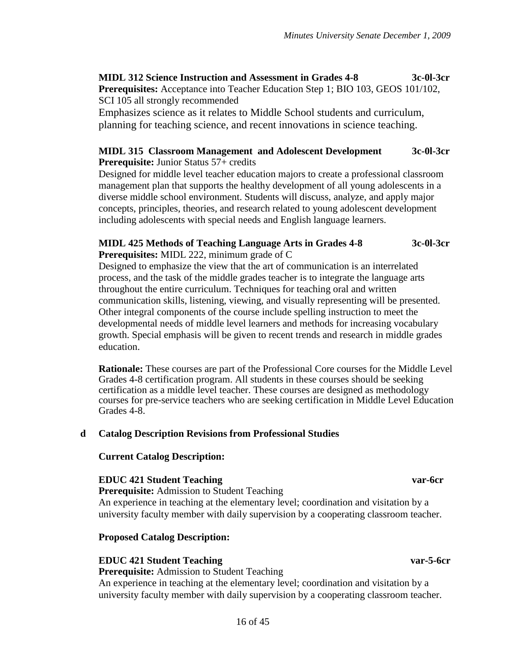**MIDL 312 Science Instruction and Assessment in Grades 4-8 3c-0l-3cr**

**Prerequisites:** Acceptance into Teacher Education Step 1; BIO 103, GEOS 101/102, SCI 105 all strongly recommended

Emphasizes science as it relates to Middle School students and curriculum, planning for teaching science, and recent innovations in science teaching.

#### **MIDL 315 Classroom Management and Adolescent Development 3c-0l-3cr Prerequisite:** Junior Status 57+ credits

Designed for middle level teacher education majors to create a professional classroom management plan that supports the healthy development of all young adolescents in a diverse middle school environment. Students will discuss, analyze, and apply major concepts, principles, theories, and research related to young adolescent development including adolescents with special needs and English language learners.

## **MIDL 425 Methods of Teaching Language Arts in Grades 4-8 3c-0l-3cr**

**Prerequisites:** MIDL 222, minimum grade of C

Designed to emphasize the view that the art of communication is an interrelated process, and the task of the middle grades teacher is to integrate the language arts throughout the entire curriculum. Techniques for teaching oral and written communication skills, listening, viewing, and visually representing will be presented. Other integral components of the course include spelling instruction to meet the developmental needs of middle level learners and methods for increasing vocabulary growth. Special emphasis will be given to recent trends and research in middle grades education.

**Rationale:** These courses are part of the Professional Core courses for the Middle Level Grades 4-8 certification program. All students in these courses should be seeking certification as a middle level teacher. These courses are designed as methodology courses for pre-service teachers who are seeking certification in Middle Level Education Grades 4-8.

#### **d Catalog Description Revisions from Professional Studies**

#### **Current Catalog Description:**

#### **EDUC 421 Student Teaching var-6cr**

**Prerequisite:** Admission to Student Teaching An experience in teaching at the elementary level; coordination and visitation by a university faculty member with daily supervision by a cooperating classroom teacher.

#### **Proposed Catalog Description:**

#### **EDUC 421 Student Teaching var-5-6cr**

**Prerequisite:** Admission to Student Teaching

An experience in teaching at the elementary level; coordination and visitation by a university faculty member with daily supervision by a cooperating classroom teacher.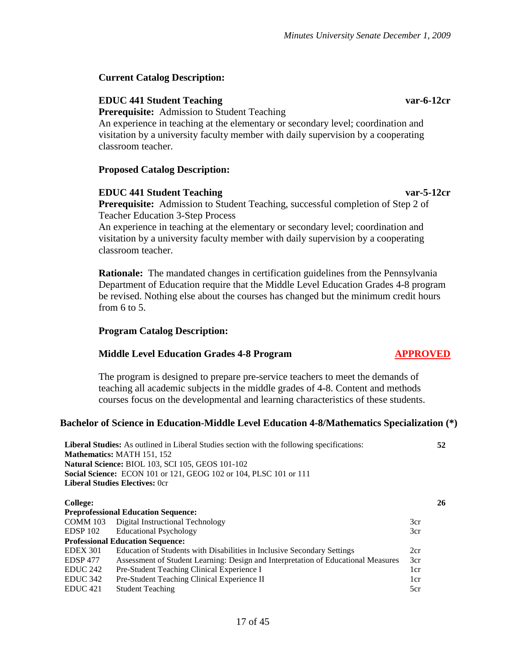#### **Current Catalog Description:**

#### **EDUC 441 Student Teaching var-6-12cr**

**Prerequisite:** Admission to Student Teaching

An experience in teaching at the elementary or secondary level; coordination and visitation by a university faculty member with daily supervision by a cooperating classroom teacher.

#### **Proposed Catalog Description:**

#### **EDUC 441 Student Teaching var-5-12cr**

**Prerequisite:** Admission to Student Teaching, successful completion of Step 2 of Teacher Education 3-Step Process

An experience in teaching at the elementary or secondary level; coordination and visitation by a university faculty member with daily supervision by a cooperating classroom teacher.

**Rationale:** The mandated changes in certification guidelines from the Pennsylvania Department of Education require that the Middle Level Education Grades 4-8 program be revised. Nothing else about the courses has changed but the minimum credit hours from 6 to 5.

#### **Program Catalog Description:**

#### **Middle Level Education Grades 4-8 Program APPROVED**

The program is designed to prepare pre-service teachers to meet the demands of teaching all academic subjects in the middle grades of 4-8. Content and methods courses focus on the developmental and learning characteristics of these students.

#### **Bachelor of Science in Education-Middle Level Education 4-8/Mathematics Specialization (\*)**

|                     | Liberal Studies: As outlined in Liberal Studies section with the following specifications:<br>52 |                 |    |  |  |  |
|---------------------|--------------------------------------------------------------------------------------------------|-----------------|----|--|--|--|
|                     | <b>Mathematics: MATH 151, 152</b>                                                                |                 |    |  |  |  |
|                     | Natural Science: BIOL 103, SCI 105, GEOS 101-102                                                 |                 |    |  |  |  |
|                     | <b>Social Science:</b> ECON 101 or 121, GEOG 102 or 104, PLSC 101 or 111                         |                 |    |  |  |  |
|                     | <b>Liberal Studies Electives: Ocr</b>                                                            |                 |    |  |  |  |
|                     |                                                                                                  |                 |    |  |  |  |
| <b>College:</b>     |                                                                                                  |                 | 26 |  |  |  |
|                     | <b>Preprofessional Education Sequence:</b>                                                       |                 |    |  |  |  |
| COMM 103            | Digital Instructional Technology                                                                 | 3cr             |    |  |  |  |
| EDSP 102            | <b>Educational Psychology</b>                                                                    | 3cr             |    |  |  |  |
|                     | <b>Professional Education Sequence:</b>                                                          |                 |    |  |  |  |
| <b>EDEX 301</b>     | Education of Students with Disabilities in Inclusive Secondary Settings                          | 2cr             |    |  |  |  |
| <b>EDSP 477</b>     | Assessment of Student Learning: Design and Interpretation of Educational Measures                | 3cr             |    |  |  |  |
| EDUC <sub>242</sub> | Pre-Student Teaching Clinical Experience I                                                       | 1 <sub>cr</sub> |    |  |  |  |
| EDUC <sub>342</sub> | Pre-Student Teaching Clinical Experience II                                                      | 1 <sub>cr</sub> |    |  |  |  |
| EDUC <sub>421</sub> | <b>Student Teaching</b>                                                                          | 5cr             |    |  |  |  |
|                     |                                                                                                  |                 |    |  |  |  |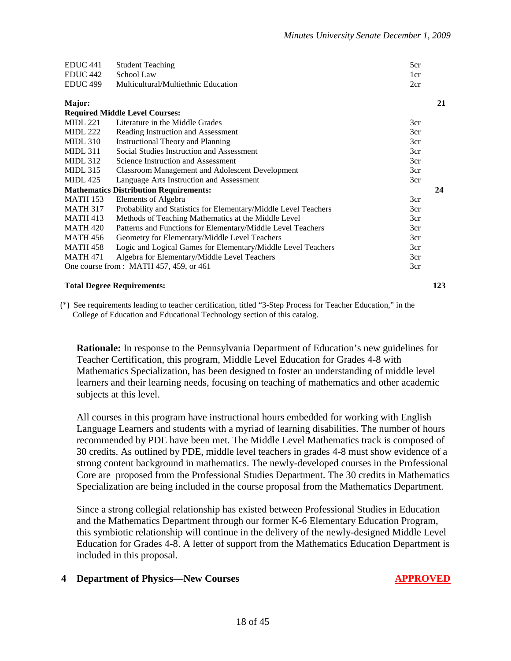| 21<br>Major:                                                                              |
|-------------------------------------------------------------------------------------------|
| <b>Required Middle Level Courses:</b>                                                     |
| Literature in the Middle Grades<br><b>MIDL 221</b><br>3cr                                 |
| <b>MIDL 222</b><br>Reading Instruction and Assessment<br>3cr                              |
| $MIDL$ 310<br><b>Instructional Theory and Planning</b><br>3cr                             |
| Social Studies Instruction and Assessment<br>$MIDL$ 311<br>3cr                            |
| <b>MIDL 312</b><br>Science Instruction and Assessment<br>3cr                              |
| $MIDL$ 315<br><b>Classroom Management and Adolescent Development</b><br>3cr               |
| <b>MIDL</b> 425<br>Language Arts Instruction and Assessment<br>3cr                        |
| <b>Mathematics Distribution Requirements:</b><br>24                                       |
| <b>MATH 153</b><br>Elements of Algebra<br>3cr                                             |
| <b>MATH 317</b><br>Probability and Statistics for Elementary/Middle Level Teachers<br>3cr |
| Methods of Teaching Mathematics at the Middle Level<br><b>MATH 413</b><br>3cr             |
| <b>MATH 420</b><br>Patterns and Functions for Elementary/Middle Level Teachers<br>3cr     |
| <b>MATH 456</b><br>Geometry for Elementary/Middle Level Teachers<br>3cr                   |
| Logic and Logical Games for Elementary/Middle Level Teachers<br><b>MATH 458</b><br>3cr    |
| Algebra for Elementary/Middle Level Teachers<br><b>MATH 471</b><br>3cr                    |
| One course from: MATH 457, 459, or 461<br>3cr                                             |

#### **Total Degree Requirements: 123**

(\*) See requirements leading to teacher certification, titled "3-Step Process for Teacher Education," in the College of Education and Educational Technology section of this catalog.

**Rationale:** In response to the Pennsylvania Department of Education's new guidelines for Teacher Certification, this program, Middle Level Education for Grades 4-8 with Mathematics Specialization, has been designed to foster an understanding of middle level learners and their learning needs, focusing on teaching of mathematics and other academic subjects at this level.

All courses in this program have instructional hours embedded for working with English Language Learners and students with a myriad of learning disabilities. The number of hours recommended by PDE have been met. The Middle Level Mathematics track is composed of 30 credits. As outlined by PDE, middle level teachers in grades 4-8 must show evidence of a strong content background in mathematics. The newly-developed courses in the Professional Core are proposed from the Professional Studies Department. The 30 credits in Mathematics Specialization are being included in the course proposal from the Mathematics Department.

Since a strong collegial relationship has existed between Professional Studies in Education and the Mathematics Department through our former K-6 Elementary Education Program, this symbiotic relationship will continue in the delivery of the newly-designed Middle Level Education for Grades 4-8. A letter of support from the Mathematics Education Department is included in this proposal.

#### **4 Department of Physics—New Courses APPROVED**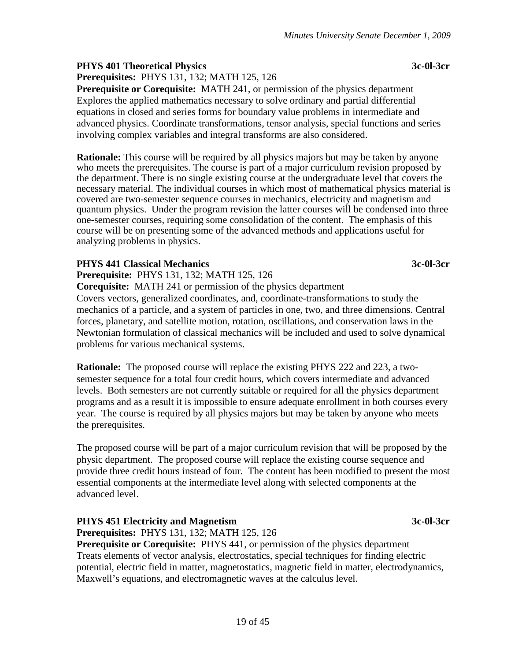#### **PHYS 401 Theoretical Physics 3c-0l-3cr**

**Prerequisites:** PHYS 131, 132; MATH 125, 126

**Prerequisite or Corequisite:** MATH 241, or permission of the physics department Explores the applied mathematics necessary to solve ordinary and partial differential equations in closed and series forms for boundary value problems in intermediate and advanced physics. Coordinate transformations, tensor analysis, special functions and series involving complex variables and integral transforms are also considered.

**Rationale:** This course will be required by all physics majors but may be taken by anyone who meets the prerequisites. The course is part of a major curriculum revision proposed by the department. There is no single existing course at the undergraduate level that covers the necessary material. The individual courses in which most of mathematical physics material is covered are two-semester sequence courses in mechanics, electricity and magnetism and quantum physics. Under the program revision the latter courses will be condensed into three one-semester courses, requiring some consolidation of the content. The emphasis of this course will be on presenting some of the advanced methods and applications useful for analyzing problems in physics.

#### **PHYS 441 Classical Mechanics 3c-0l-3cr**

**Prerequisite:** PHYS 131, 132; MATH 125, 126

**Corequisite:** MATH 241 or permission of the physics department

Covers vectors, generalized coordinates, and, coordinate-transformations to study the mechanics of a particle, and a system of particles in one, two, and three dimensions. Central forces, planetary, and satellite motion, rotation, oscillations, and conservation laws in the Newtonian formulation of classical mechanics will be included and used to solve dynamical problems for various mechanical systems.

**Rationale:** The proposed course will replace the existing PHYS 222 and 223, a twosemester sequence for a total four credit hours, which covers intermediate and advanced levels. Both semesters are not currently suitable or required for all the physics department programs and as a result it is impossible to ensure adequate enrollment in both courses every year. The course is required by all physics majors but may be taken by anyone who meets the prerequisites.

The proposed course will be part of a major curriculum revision that will be proposed by the physic department. The proposed course will replace the existing course sequence and provide three credit hours instead of four. The content has been modified to present the most essential components at the intermediate level along with selected components at the advanced level.

#### **PHYS 451 Electricity and Magnetism 3c-0l-3cr**

**Prerequisites:** PHYS 131, 132; MATH 125, 126

**Prerequisite or Corequisite:** PHYS 441, or permission of the physics department Treats elements of vector analysis, electrostatics, special techniques for finding electric potential, electric field in matter, magnetostatics, magnetic field in matter, electrodynamics, Maxwell's equations, and electromagnetic waves at the calculus level.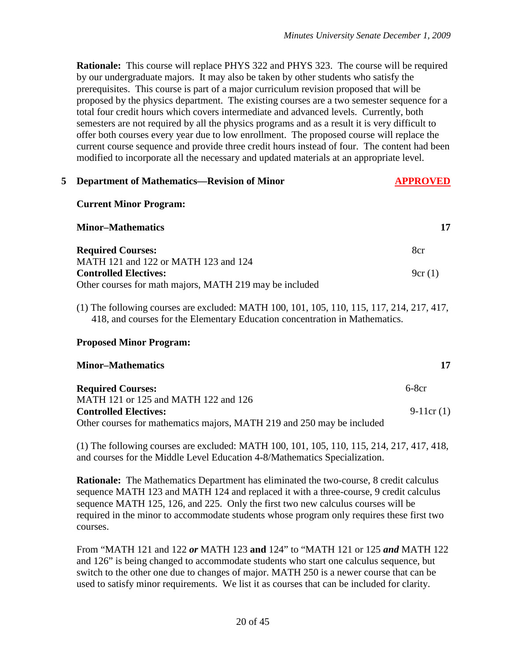**Rationale:** This course will replace PHYS 322 and PHYS 323. The course will be required by our undergraduate majors. It may also be taken by other students who satisfy the prerequisites. This course is part of a major curriculum revision proposed that will be proposed by the physics department. The existing courses are a two semester sequence for a total four credit hours which covers intermediate and advanced levels. Currently, both semesters are not required by all the physics programs and as a result it is very difficult to offer both courses every year due to low enrollment. The proposed course will replace the current course sequence and provide three credit hours instead of four. The content had been modified to incorporate all the necessary and updated materials at an appropriate level.

| 5 <sup>1</sup> | <b>Department of Mathematics—Revision of Minor</b>                                                                                                                       | <b>APPROVED</b> |  |  |  |  |
|----------------|--------------------------------------------------------------------------------------------------------------------------------------------------------------------------|-----------------|--|--|--|--|
|                | <b>Current Minor Program:</b>                                                                                                                                            |                 |  |  |  |  |
|                | <b>Minor–Mathematics</b>                                                                                                                                                 | 17              |  |  |  |  |
|                | <b>Required Courses:</b>                                                                                                                                                 | 8cr             |  |  |  |  |
|                | MATH 121 and 122 or MATH 123 and 124                                                                                                                                     |                 |  |  |  |  |
|                | <b>Controlled Electives:</b>                                                                                                                                             | 9cr(1)          |  |  |  |  |
|                | Other courses for math majors, MATH 219 may be included                                                                                                                  |                 |  |  |  |  |
|                | (1) The following courses are excluded: MATH 100, 101, 105, 110, 115, 117, 214, 217, 417,<br>418, and courses for the Elementary Education concentration in Mathematics. |                 |  |  |  |  |

#### **Proposed Minor Program:**

| <b>Minor–Mathematics</b>                                               | 17          |
|------------------------------------------------------------------------|-------------|
| <b>Required Courses:</b>                                               | $6-8cr$     |
| MATH 121 or 125 and MATH 122 and 126                                   |             |
| <b>Controlled Electives:</b>                                           | $9-11cr(1)$ |
| Other courses for mathematics majors, MATH 219 and 250 may be included |             |

(1) The following courses are excluded: MATH 100, 101, 105, 110, 115, 214, 217, 417, 418, and courses for the Middle Level Education 4-8/Mathematics Specialization.

**Rationale:** The Mathematics Department has eliminated the two-course, 8 credit calculus sequence MATH 123 and MATH 124 and replaced it with a three-course, 9 credit calculus sequence MATH 125, 126, and 225. Only the first two new calculus courses will be required in the minor to accommodate students whose program only requires these first two courses.

From "MATH 121 and 122 *or* MATH 123 **and** 124" to "MATH 121 or 125 *and* MATH 122 and 126" is being changed to accommodate students who start one calculus sequence, but switch to the other one due to changes of major. MATH 250 is a newer course that can be used to satisfy minor requirements. We list it as courses that can be included for clarity.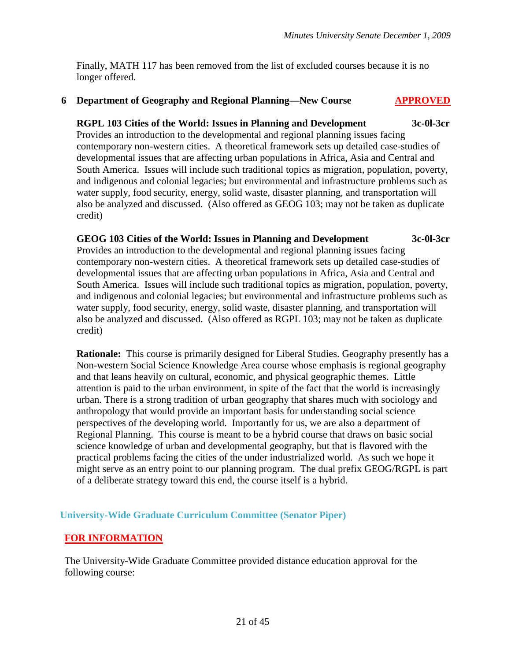Finally, MATH 117 has been removed from the list of excluded courses because it is no longer offered.

#### **6 Department of Geography and Regional Planning—New Course APPROVED**

#### **RGPL 103 Cities of the World: Issues in Planning and Development 3c-0l-3cr**

Provides an introduction to the developmental and regional planning issues facing contemporary non-western cities. A theoretical framework sets up detailed case-studies of developmental issues that are affecting urban populations in Africa, Asia and Central and South America. Issues will include such traditional topics as migration, population, poverty, and indigenous and colonial legacies; but environmental and infrastructure problems such as water supply, food security, energy, solid waste, disaster planning, and transportation will also be analyzed and discussed. (Also offered as GEOG 103; may not be taken as duplicate credit)

#### **GEOG 103 Cities of the World: Issues in Planning and Development 3c-0l-3cr** Provides an introduction to the developmental and regional planning issues facing contemporary non-western cities. A theoretical framework sets up detailed case-studies of developmental issues that are affecting urban populations in Africa, Asia and Central and South America. Issues will include such traditional topics as migration, population, poverty, and indigenous and colonial legacies; but environmental and infrastructure problems such as water supply, food security, energy, solid waste, disaster planning, and transportation will also be analyzed and discussed. (Also offered as RGPL 103; may not be taken as duplicate credit)

**Rationale:** This course is primarily designed for Liberal Studies. Geography presently has a Non-western Social Science Knowledge Area course whose emphasis is regional geography and that leans heavily on cultural, economic, and physical geographic themes. Little attention is paid to the urban environment, in spite of the fact that the world is increasingly urban. There is a strong tradition of urban geography that shares much with sociology and anthropology that would provide an important basis for understanding social science perspectives of the developing world. Importantly for us, we are also a department of Regional Planning. This course is meant to be a hybrid course that draws on basic social science knowledge of urban and developmental geography, but that is flavored with the practical problems facing the cities of the under industrialized world. As such we hope it might serve as an entry point to our planning program. The dual prefix GEOG/RGPL is part of a deliberate strategy toward this end, the course itself is a hybrid.

#### **University-Wide Graduate Curriculum Committee (Senator Piper)**

#### **FOR INFORMATION**

The University-Wide Graduate Committee provided distance education approval for the following course: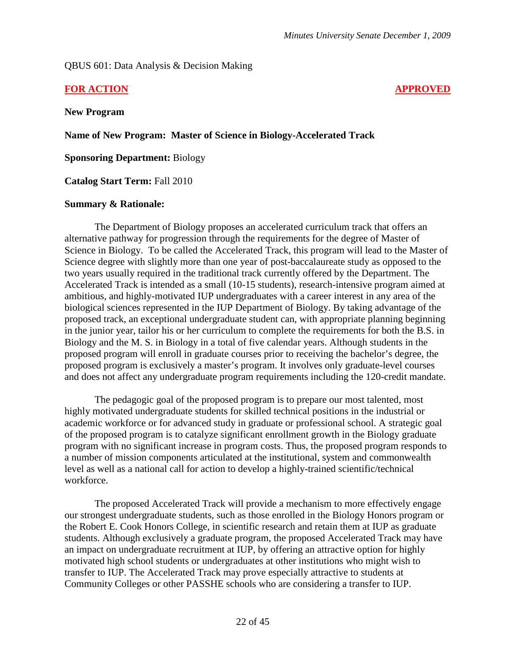#### QBUS 601: Data Analysis & Decision Making

#### **FOR ACTION APPROVED**

**New Program**

**Name of New Program: Master of Science in Biology-Accelerated Track**

**Sponsoring Department:** Biology

**Catalog Start Term:** Fall 2010

#### **Summary & Rationale:**

The Department of Biology proposes an accelerated curriculum track that offers an alternative pathway for progression through the requirements for the degree of Master of Science in Biology. To be called the Accelerated Track, this program will lead to the Master of Science degree with slightly more than one year of post-baccalaureate study as opposed to the two years usually required in the traditional track currently offered by the Department. The Accelerated Track is intended as a small (10-15 students), research-intensive program aimed at ambitious, and highly-motivated IUP undergraduates with a career interest in any area of the biological sciences represented in the IUP Department of Biology. By taking advantage of the proposed track, an exceptional undergraduate student can, with appropriate planning beginning in the junior year, tailor his or her curriculum to complete the requirements for both the B.S. in Biology and the M. S. in Biology in a total of five calendar years. Although students in the proposed program will enroll in graduate courses prior to receiving the bachelor's degree, the proposed program is exclusively a master's program. It involves only graduate-level courses and does not affect any undergraduate program requirements including the 120-credit mandate.

The pedagogic goal of the proposed program is to prepare our most talented, most highly motivated undergraduate students for skilled technical positions in the industrial or academic workforce or for advanced study in graduate or professional school. A strategic goal of the proposed program is to catalyze significant enrollment growth in the Biology graduate program with no significant increase in program costs. Thus, the proposed program responds to a number of mission components articulated at the institutional, system and commonwealth level as well as a national call for action to develop a highly-trained scientific/technical workforce.

The proposed Accelerated Track will provide a mechanism to more effectively engage our strongest undergraduate students, such as those enrolled in the Biology Honors program or the Robert E. Cook Honors College, in scientific research and retain them at IUP as graduate students. Although exclusively a graduate program, the proposed Accelerated Track may have an impact on undergraduate recruitment at IUP, by offering an attractive option for highly motivated high school students or undergraduates at other institutions who might wish to transfer to IUP. The Accelerated Track may prove especially attractive to students at Community Colleges or other PASSHE schools who are considering a transfer to IUP.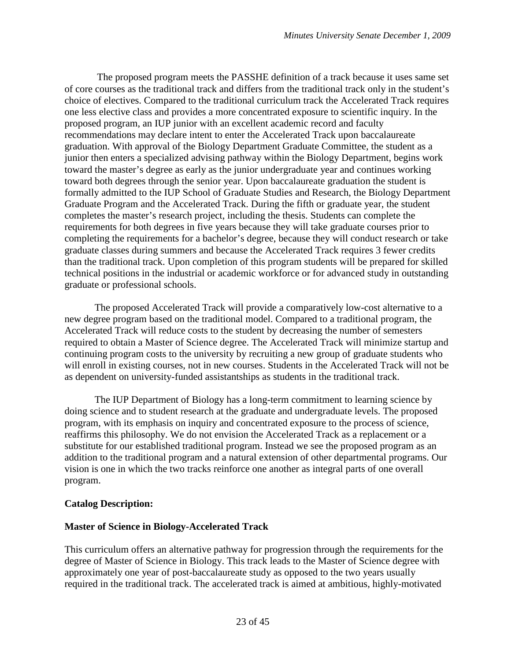The proposed program meets the PASSHE definition of a track because it uses same set of core courses as the traditional track and differs from the traditional track only in the student's choice of electives. Compared to the traditional curriculum track the Accelerated Track requires one less elective class and provides a more concentrated exposure to scientific inquiry. In the proposed program, an IUP junior with an excellent academic record and faculty recommendations may declare intent to enter the Accelerated Track upon baccalaureate graduation. With approval of the Biology Department Graduate Committee, the student as a junior then enters a specialized advising pathway within the Biology Department, begins work toward the master's degree as early as the junior undergraduate year and continues working toward both degrees through the senior year. Upon baccalaureate graduation the student is formally admitted to the IUP School of Graduate Studies and Research, the Biology Department Graduate Program and the Accelerated Track. During the fifth or graduate year, the student completes the master's research project, including the thesis. Students can complete the requirements for both degrees in five years because they will take graduate courses prior to completing the requirements for a bachelor's degree, because they will conduct research or take graduate classes during summers and because the Accelerated Track requires 3 fewer credits than the traditional track. Upon completion of this program students will be prepared for skilled technical positions in the industrial or academic workforce or for advanced study in outstanding graduate or professional schools.

The proposed Accelerated Track will provide a comparatively low-cost alternative to a new degree program based on the traditional model. Compared to a traditional program, the Accelerated Track will reduce costs to the student by decreasing the number of semesters required to obtain a Master of Science degree. The Accelerated Track will minimize startup and continuing program costs to the university by recruiting a new group of graduate students who will enroll in existing courses, not in new courses. Students in the Accelerated Track will not be as dependent on university-funded assistantships as students in the traditional track.

The IUP Department of Biology has a long-term commitment to learning science by doing science and to student research at the graduate and undergraduate levels. The proposed program, with its emphasis on inquiry and concentrated exposure to the process of science, reaffirms this philosophy. We do not envision the Accelerated Track as a replacement or a substitute for our established traditional program. Instead we see the proposed program as an addition to the traditional program and a natural extension of other departmental programs. Our vision is one in which the two tracks reinforce one another as integral parts of one overall program.

#### **Catalog Description:**

#### **Master of Science in Biology-Accelerated Track**

This curriculum offers an alternative pathway for progression through the requirements for the degree of Master of Science in Biology. This track leads to the Master of Science degree with approximately one year of post-baccalaureate study as opposed to the two years usually required in the traditional track. The accelerated track is aimed at ambitious, highly-motivated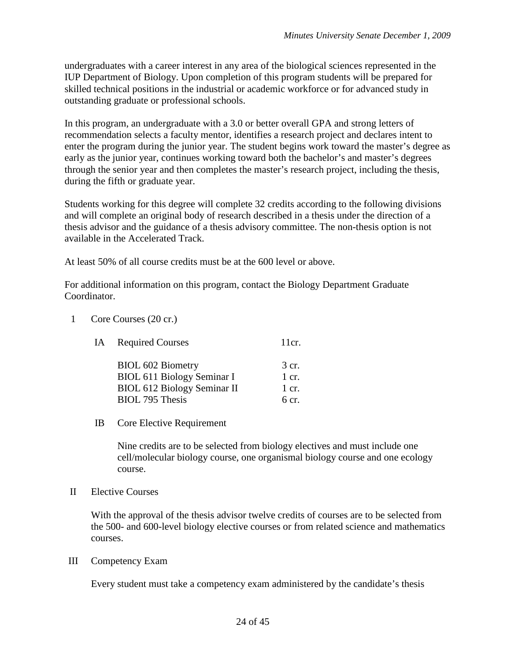undergraduates with a career interest in any area of the biological sciences represented in the IUP Department of Biology. Upon completion of this program students will be prepared for skilled technical positions in the industrial or academic workforce or for advanced study in outstanding graduate or professional schools.

In this program, an undergraduate with a 3.0 or better overall GPA and strong letters of recommendation selects a faculty mentor, identifies a research project and declares intent to enter the program during the junior year. The student begins work toward the master's degree as early as the junior year, continues working toward both the bachelor's and master's degrees through the senior year and then completes the master's research project, including the thesis, during the fifth or graduate year.

Students working for this degree will complete 32 credits according to the following divisions and will complete an original body of research described in a thesis under the direction of a thesis advisor and the guidance of a thesis advisory committee. The non-thesis option is not available in the Accelerated Track.

At least 50% of all course credits must be at the 600 level or above.

For additional information on this program, contact the Biology Department Graduate Coordinator.

1 Core Courses (20 cr.)

| IA. | <b>Required Courses</b>            | 11cr.            |
|-----|------------------------------------|------------------|
|     | <b>BIOL 602 Biometry</b>           | 3 cr.            |
|     | BIOL 611 Biology Seminar I         | $1$ cr.          |
|     | <b>BIOL 612 Biology Seminar II</b> | $1$ cr.          |
|     | <b>BIOL 795 Thesis</b>             | $6 \text{ cr}$ . |

IB Core Elective Requirement

Nine credits are to be selected from biology electives and must include one cell/molecular biology course, one organismal biology course and one ecology course.

II Elective Courses

With the approval of the thesis advisor twelve credits of courses are to be selected from the 500- and 600-level biology elective courses or from related science and mathematics courses.

III Competency Exam

Every student must take a competency exam administered by the candidate's thesis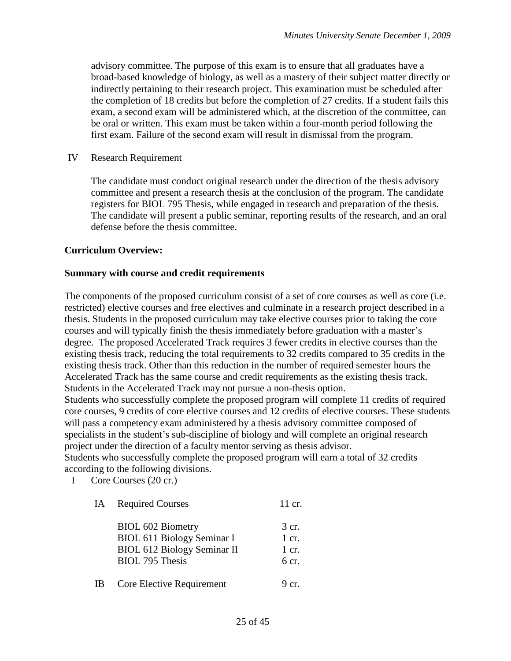advisory committee. The purpose of this exam is to ensure that all graduates have a broad-based knowledge of biology, as well as a mastery of their subject matter directly or indirectly pertaining to their research project. This examination must be scheduled after the completion of 18 credits but before the completion of 27 credits. If a student fails this exam, a second exam will be administered which, at the discretion of the committee, can be oral or written. This exam must be taken within a four-month period following the first exam. Failure of the second exam will result in dismissal from the program.

IV Research Requirement

The candidate must conduct original research under the direction of the thesis advisory committee and present a research thesis at the conclusion of the program. The candidate registers for BIOL 795 Thesis, while engaged in research and preparation of the thesis. The candidate will present a public seminar, reporting results of the research, and an oral defense before the thesis committee.

#### **Curriculum Overview:**

#### **Summary with course and credit requirements**

The components of the proposed curriculum consist of a set of core courses as well as core (i.e. restricted) elective courses and free electives and culminate in a research project described in a thesis. Students in the proposed curriculum may take elective courses prior to taking the core courses and will typically finish the thesis immediately before graduation with a master's degree. The proposed Accelerated Track requires 3 fewer credits in elective courses than the existing thesis track, reducing the total requirements to 32 credits compared to 35 credits in the existing thesis track. Other than this reduction in the number of required semester hours the Accelerated Track has the same course and credit requirements as the existing thesis track. Students in the Accelerated Track may not pursue a non-thesis option.

Students who successfully complete the proposed program will complete 11 credits of required core courses, 9 credits of core elective courses and 12 credits of elective courses. These students will pass a competency exam administered by a thesis advisory committee composed of specialists in the student's sub-discipline of biology and will complete an original research project under the direction of a faculty mentor serving as thesis advisor.

Students who successfully complete the proposed program will earn a total of 32 credits according to the following divisions.

I Core Courses (20 cr.)

| IA  | <b>Required Courses</b>                                                                                                | 11 cr.                                                      |
|-----|------------------------------------------------------------------------------------------------------------------------|-------------------------------------------------------------|
|     | <b>BIOL 602 Biometry</b><br>BIOL 611 Biology Seminar I<br><b>BIOL 612 Biology Seminar II</b><br><b>BIOL 795 Thesis</b> | $\frac{3}{2}$ cr.<br>$1$ cr.<br>$1$ cr.<br>6 <sub>cr.</sub> |
| IB. | Core Elective Requirement                                                                                              | 9 <sub>cr</sub>                                             |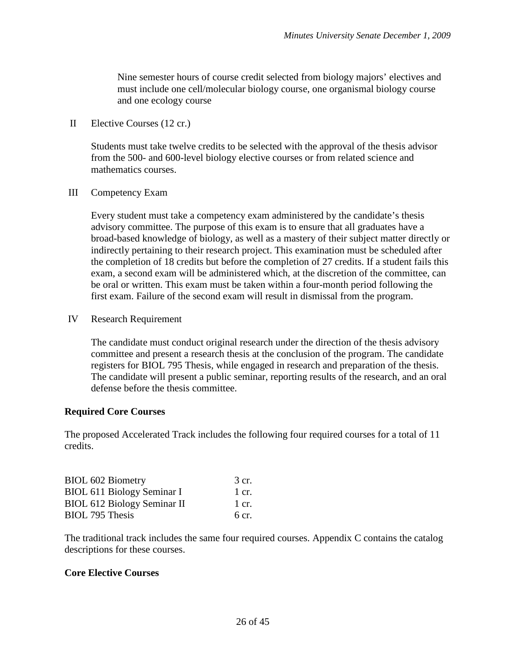Nine semester hours of course credit selected from biology majors' electives and must include one cell/molecular biology course, one organismal biology course and one ecology course

II Elective Courses (12 cr.)

Students must take twelve credits to be selected with the approval of the thesis advisor from the 500- and 600-level biology elective courses or from related science and mathematics courses.

III Competency Exam

Every student must take a competency exam administered by the candidate's thesis advisory committee. The purpose of this exam is to ensure that all graduates have a broad-based knowledge of biology, as well as a mastery of their subject matter directly or indirectly pertaining to their research project. This examination must be scheduled after the completion of 18 credits but before the completion of 27 credits. If a student fails this exam, a second exam will be administered which, at the discretion of the committee, can be oral or written. This exam must be taken within a four-month period following the first exam. Failure of the second exam will result in dismissal from the program.

IV Research Requirement

The candidate must conduct original research under the direction of the thesis advisory committee and present a research thesis at the conclusion of the program. The candidate registers for BIOL 795 Thesis, while engaged in research and preparation of the thesis. The candidate will present a public seminar, reporting results of the research, and an oral defense before the thesis committee.

#### **Required Core Courses**

The proposed Accelerated Track includes the following four required courses for a total of 11 credits.

| <b>BIOL 602 Biometry</b>           | 3 cr. |
|------------------------------------|-------|
| <b>BIOL 611 Biology Seminar I</b>  | 1 cr. |
| <b>BIOL 612 Biology Seminar II</b> | 1 cr. |
| <b>BIOL 795 Thesis</b>             | 6 cr. |

The traditional track includes the same four required courses. Appendix C contains the catalog descriptions for these courses.

#### **Core Elective Courses**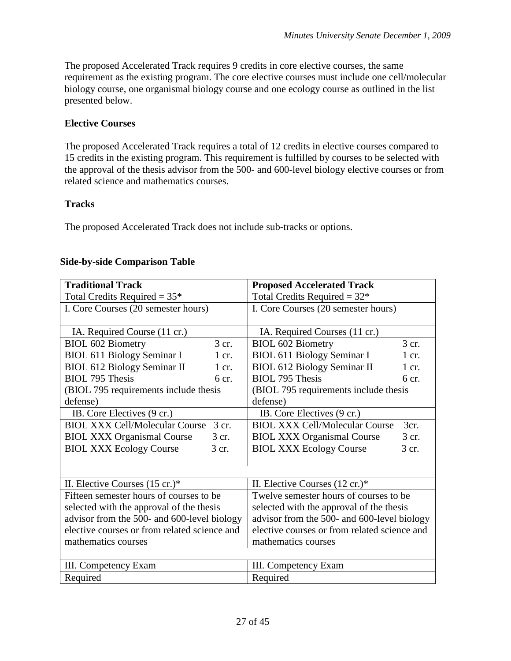The proposed Accelerated Track requires 9 credits in core elective courses, the same requirement as the existing program. The core elective courses must include one cell/molecular biology course, one organismal biology course and one ecology course as outlined in the list presented below.

#### **Elective Courses**

The proposed Accelerated Track requires a total of 12 credits in elective courses compared to 15 credits in the existing program. This requirement is fulfilled by courses to be selected with the approval of the thesis advisor from the 500- and 600-level biology elective courses or from related science and mathematics courses.

#### **Tracks**

The proposed Accelerated Track does not include sub-tracks or options.

| <b>Traditional Track</b>                       | <b>Proposed Accelerated Track</b>             |  |  |  |
|------------------------------------------------|-----------------------------------------------|--|--|--|
| Total Credits Required = $35*$                 | Total Credits Required = $32*$                |  |  |  |
| I. Core Courses (20 semester hours)            | I. Core Courses (20 semester hours)           |  |  |  |
|                                                |                                               |  |  |  |
| IA. Required Course (11 cr.)                   | IA. Required Courses (11 cr.)                 |  |  |  |
| 3 cr.<br><b>BIOL 602 Biometry</b>              | 3 cr.<br><b>BIOL 602 Biometry</b>             |  |  |  |
| <b>BIOL 611 Biology Seminar I</b><br>$1$ cr.   | <b>BIOL 611 Biology Seminar I</b><br>1 cr.    |  |  |  |
| <b>BIOL 612 Biology Seminar II</b><br>$1$ cr.  | <b>BIOL 612 Biology Seminar II</b><br>1 cr.   |  |  |  |
| <b>BIOL 795 Thesis</b><br>6 <sub>cr.</sub>     | <b>BIOL 795 Thesis</b><br>6 <sub>cr.</sub>    |  |  |  |
| (BIOL 795 requirements include thesis          | (BIOL 795 requirements include thesis         |  |  |  |
| defense)                                       | defense)                                      |  |  |  |
| IB. Core Electives (9 cr.)                     | IB. Core Electives (9 cr.)                    |  |  |  |
| <b>BIOL XXX Cell/Molecular Course</b><br>3 cr. | 3cr.<br><b>BIOL XXX Cell/Molecular Course</b> |  |  |  |
| <b>BIOL XXX Organismal Course</b><br>3 cr.     | <b>BIOL XXX Organismal Course</b><br>$3$ cr.  |  |  |  |
| <b>BIOL XXX Ecology Course</b><br>3 cr.        | <b>BIOL XXX Ecology Course</b><br>3 cr.       |  |  |  |
|                                                |                                               |  |  |  |
|                                                |                                               |  |  |  |
| II. Elective Courses $(15 \text{ cr.})^*$      | II. Elective Courses $(12 \text{ cr.})^*$     |  |  |  |
| Fifteen semester hours of courses to be.       | Twelve semester hours of courses to be        |  |  |  |
| selected with the approval of the thesis       | selected with the approval of the thesis      |  |  |  |
| advisor from the 500- and 600-level biology    | advisor from the 500- and 600-level biology   |  |  |  |
| elective courses or from related science and   | elective courses or from related science and  |  |  |  |
| mathematics courses                            | mathematics courses                           |  |  |  |
|                                                |                                               |  |  |  |
| III. Competency Exam                           | III. Competency Exam                          |  |  |  |
| Required<br>Required                           |                                               |  |  |  |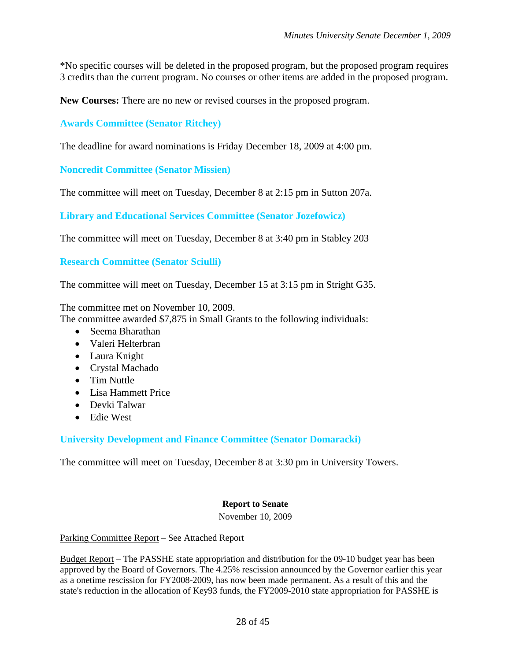\*No specific courses will be deleted in the proposed program, but the proposed program requires 3 credits than the current program. No courses or other items are added in the proposed program.

**New Courses:** There are no new or revised courses in the proposed program.

**Awards Committee (Senator Ritchey)**

The deadline for award nominations is Friday December 18, 2009 at 4:00 pm.

**Noncredit Committee (Senator Missien)**

The committee will meet on Tuesday, December 8 at 2:15 pm in Sutton 207a.

**Library and Educational Services Committee (Senator Jozefowicz)**

The committee will meet on Tuesday, December 8 at 3:40 pm in Stabley 203

**Research Committee (Senator Sciulli)**

The committee will meet on Tuesday, December 15 at 3:15 pm in Stright G35.

The committee met on November 10, 2009.

The committee awarded \$7,875 in Small Grants to the following individuals:

- Seema Bharathan
- Valeri Helterbran
- Laura Knight
- Crystal Machado
- Tim Nuttle
- Lisa Hammett Price
- Devki Talwar
- Edie West

**University Development and Finance Committee (Senator Domaracki)**

The committee will meet on Tuesday, December 8 at 3:30 pm in University Towers.

#### **Report to Senate**

November 10, 2009

Parking Committee Report – See Attached Report

Budget Report – The PASSHE state appropriation and distribution for the 09-10 budget year has been approved by the Board of Governors. The 4.25% rescission announced by the Governor earlier this year as a onetime rescission for FY2008-2009, has now been made permanent. As a result of this and the state's reduction in the allocation of Key93 funds, the FY2009-2010 state appropriation for PASSHE is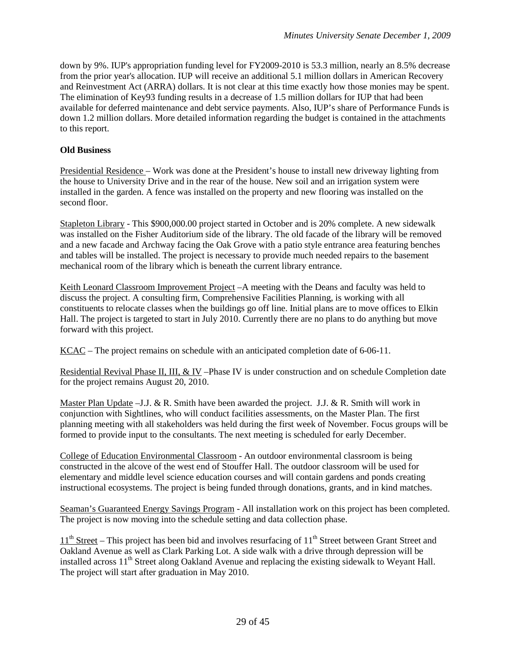down by 9%. IUP's appropriation funding level for FY2009-2010 is 53.3 million, nearly an 8.5% decrease from the prior year's allocation. IUP will receive an additional 5.1 million dollars in American Recovery and Reinvestment Act (ARRA) dollars. It is not clear at this time exactly how those monies may be spent. The elimination of Key93 funding results in a decrease of 1.5 million dollars for IUP that had been available for deferred maintenance and debt service payments. Also, IUP's share of Performance Funds is down 1.2 million dollars. More detailed information regarding the budget is contained in the attachments to this report.

#### **Old Business**

Presidential Residence – Work was done at the President's house to install new driveway lighting from the house to University Drive and in the rear of the house. New soil and an irrigation system were installed in the garden. A fence was installed on the property and new flooring was installed on the second floor.

Stapleton Library - This \$900,000.00 project started in October and is 20% complete. A new sidewalk was installed on the Fisher Auditorium side of the library. The old facade of the library will be removed and a new facade and Archway facing the Oak Grove with a patio style entrance area featuring benches and tables will be installed. The project is necessary to provide much needed repairs to the basement mechanical room of the library which is beneath the current library entrance.

Keith Leonard Classroom Improvement Project –A meeting with the Deans and faculty was held to discuss the project. A consulting firm, Comprehensive Facilities Planning, is working with all constituents to relocate classes when the buildings go off line. Initial plans are to move offices to Elkin Hall. The project is targeted to start in July 2010. Currently there are no plans to do anything but move forward with this project.

KCAC – The project remains on schedule with an anticipated completion date of 6-06-11.

Residential Revival Phase II, III, & IV –Phase IV is under construction and on schedule Completion date for the project remains August 20, 2010.

Master Plan Update –J.J. & R. Smith have been awarded the project. J.J. & R. Smith will work in conjunction with Sightlines, who will conduct facilities assessments, on the Master Plan. The first planning meeting with all stakeholders was held during the first week of November. Focus groups will be formed to provide input to the consultants. The next meeting is scheduled for early December.

College of Education Environmental Classroom - An outdoor environmental classroom is being constructed in the alcove of the west end of Stouffer Hall. The outdoor classroom will be used for elementary and middle level science education courses and will contain gardens and ponds creating instructional ecosystems. The project is being funded through donations, grants, and in kind matches.

Seaman's Guaranteed Energy Savings Program - All installation work on this project has been completed. The project is now moving into the schedule setting and data collection phase.

 $11<sup>th</sup> Street - This project has been bid and involves resurfacing of 11<sup>th</sup> Street between Grant Street and$ Oakland Avenue as well as Clark Parking Lot. A side walk with a drive through depression will be installed across 11<sup>th</sup> Street along Oakland Avenue and replacing the existing sidewalk to Weyant Hall. The project will start after graduation in May 2010.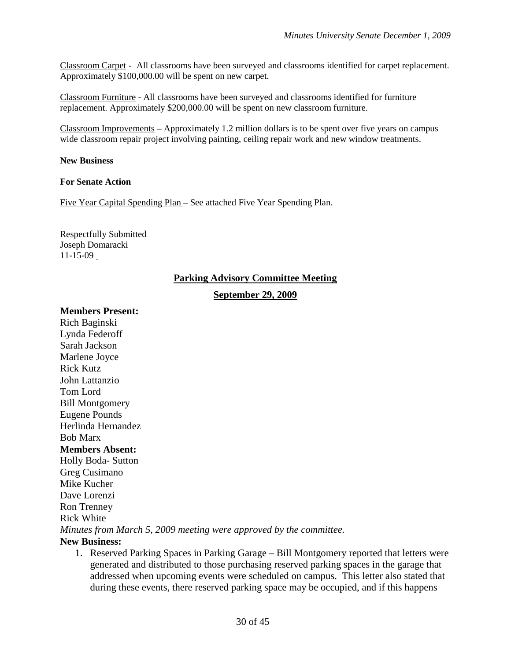Classroom Carpet - All classrooms have been surveyed and classrooms identified for carpet replacement. Approximately \$100,000.00 will be spent on new carpet.

Classroom Furniture - All classrooms have been surveyed and classrooms identified for furniture replacement. Approximately \$200,000.00 will be spent on new classroom furniture.

Classroom Improvements – Approximately 1.2 million dollars is to be spent over five years on campus wide classroom repair project involving painting, ceiling repair work and new window treatments.

#### **New Business**

#### **For Senate Action**

Five Year Capital Spending Plan – See attached Five Year Spending Plan.

Respectfully Submitted Joseph Domaracki 11-15-09

#### **Parking Advisory Committee Meeting**

**September 29, 2009**

#### **Members Present:**

Rich Baginski Lynda Federoff Sarah Jackson Marlene Joyce Rick Kutz John Lattanzio Tom Lord Bill Montgomery Eugene Pounds Herlinda Hernandez Bob Marx **Members Absent:** Holly Boda- Sutton Greg Cusimano Mike Kucher Dave Lorenzi Ron Trenney Rick White *Minutes from March 5, 2009 meeting were approved by the committee.*  **New Business:**

1. Reserved Parking Spaces in Parking Garage – Bill Montgomery reported that letters were generated and distributed to those purchasing reserved parking spaces in the garage that addressed when upcoming events were scheduled on campus. This letter also stated that during these events, there reserved parking space may be occupied, and if this happens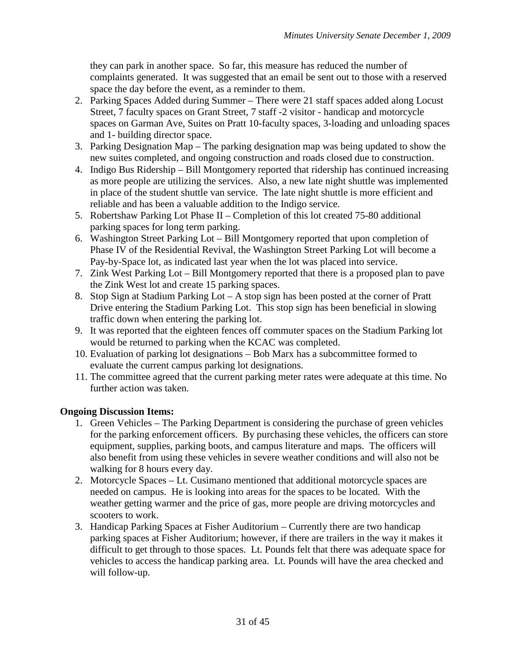they can park in another space. So far, this measure has reduced the number of complaints generated. It was suggested that an email be sent out to those with a reserved space the day before the event, as a reminder to them.

- 2. Parking Spaces Added during Summer There were 21 staff spaces added along Locust Street, 7 faculty spaces on Grant Street, 7 staff -2 visitor - handicap and motorcycle spaces on Garman Ave, Suites on Pratt 10-faculty spaces, 3-loading and unloading spaces and 1- building director space.
- 3. Parking Designation Map The parking designation map was being updated to show the new suites completed, and ongoing construction and roads closed due to construction.
- 4. Indigo Bus Ridership Bill Montgomery reported that ridership has continued increasing as more people are utilizing the services. Also, a new late night shuttle was implemented in place of the student shuttle van service. The late night shuttle is more efficient and reliable and has been a valuable addition to the Indigo service.
- 5. Robertshaw Parking Lot Phase II Completion of this lot created 75-80 additional parking spaces for long term parking.
- 6. Washington Street Parking Lot Bill Montgomery reported that upon completion of Phase IV of the Residential Revival, the Washington Street Parking Lot will become a Pay-by-Space lot, as indicated last year when the lot was placed into service.
- 7. Zink West Parking Lot Bill Montgomery reported that there is a proposed plan to pave the Zink West lot and create 15 parking spaces.
- 8. Stop Sign at Stadium Parking Lot A stop sign has been posted at the corner of Pratt Drive entering the Stadium Parking Lot. This stop sign has been beneficial in slowing traffic down when entering the parking lot.
- 9. It was reported that the eighteen fences off commuter spaces on the Stadium Parking lot would be returned to parking when the KCAC was completed.
- 10. Evaluation of parking lot designations Bob Marx has a subcommittee formed to evaluate the current campus parking lot designations.
- 11. The committee agreed that the current parking meter rates were adequate at this time. No further action was taken.

### **Ongoing Discussion Items:**

- 1. Green Vehicles The Parking Department is considering the purchase of green vehicles for the parking enforcement officers. By purchasing these vehicles, the officers can store equipment, supplies, parking boots, and campus literature and maps. The officers will also benefit from using these vehicles in severe weather conditions and will also not be walking for 8 hours every day.
- 2. Motorcycle Spaces Lt. Cusimano mentioned that additional motorcycle spaces are needed on campus. He is looking into areas for the spaces to be located. With the weather getting warmer and the price of gas, more people are driving motorcycles and scooters to work.
- 3. Handicap Parking Spaces at Fisher Auditorium Currently there are two handicap parking spaces at Fisher Auditorium; however, if there are trailers in the way it makes it difficult to get through to those spaces. Lt. Pounds felt that there was adequate space for vehicles to access the handicap parking area. Lt. Pounds will have the area checked and will follow-up.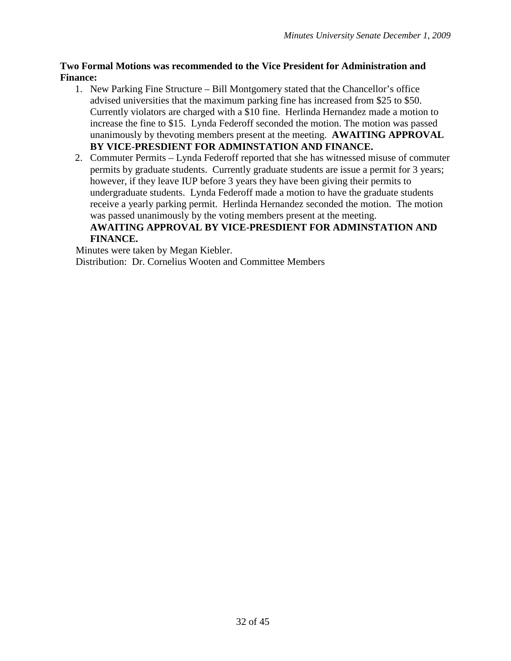#### **Two Formal Motions was recommended to the Vice President for Administration and Finance:**

- 1. New Parking Fine Structure Bill Montgomery stated that the Chancellor's office advised universities that the maximum parking fine has increased from \$25 to \$50. Currently violators are charged with a \$10 fine. Herlinda Hernandez made a motion to increase the fine to \$15. Lynda Federoff seconded the motion. The motion was passed unanimously by thevoting members present at the meeting. **AWAITING APPROVAL BY VICE-PRESDIENT FOR ADMINSTATION AND FINANCE.**
- 2. Commuter Permits Lynda Federoff reported that she has witnessed misuse of commuter permits by graduate students. Currently graduate students are issue a permit for 3 years; however, if they leave IUP before 3 years they have been giving their permits to undergraduate students. Lynda Federoff made a motion to have the graduate students receive a yearly parking permit. Herlinda Hernandez seconded the motion. The motion was passed unanimously by the voting members present at the meeting.

## **AWAITING APPROVAL BY VICE-PRESDIENT FOR ADMINSTATION AND FINANCE.**

Minutes were taken by Megan Kiebler.

Distribution: Dr. Cornelius Wooten and Committee Members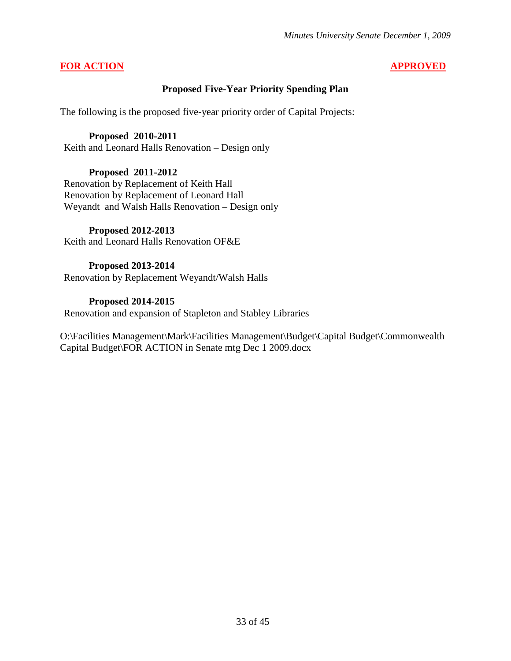#### **FOR ACTION APPROVED**

#### **Proposed Five-Year Priority Spending Plan**

The following is the proposed five-year priority order of Capital Projects:

#### **Proposed 2010-2011**

Keith and Leonard Halls Renovation – Design only

#### **Proposed 2011-2012**

Renovation by Replacement of Keith Hall Renovation by Replacement of Leonard Hall Weyandt and Walsh Halls Renovation – Design only

#### **Proposed 2012-2013**

Keith and Leonard Halls Renovation OF&E

#### **Proposed 2013-2014**

Renovation by Replacement Weyandt/Walsh Halls

#### **Proposed 2014-2015**

Renovation and expansion of Stapleton and Stabley Libraries

O:\Facilities Management\Mark\Facilities Management\Budget\Capital Budget\Commonwealth Capital Budget\FOR ACTION in Senate mtg Dec 1 2009.docx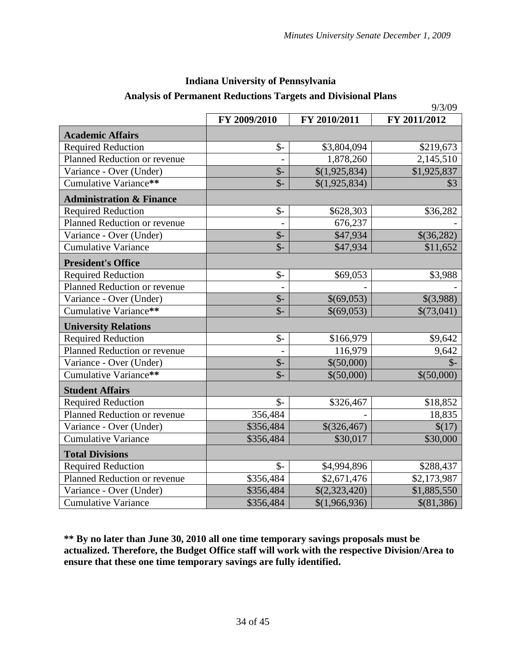| <b>Indiana University of Pennsylvania</b>                            |
|----------------------------------------------------------------------|
| <b>Analysis of Permanent Reductions Targets and Divisional Plans</b> |

|                                     |                           | 9/3/09        |               |  |
|-------------------------------------|---------------------------|---------------|---------------|--|
|                                     | FY 2009/2010              | FY 2011/2012  |               |  |
| <b>Academic Affairs</b>             |                           |               |               |  |
| <b>Required Reduction</b>           | $\frac{1}{2}$             | \$3,804,094   | \$219,673     |  |
| Planned Reduction or revenue        |                           | 1,878,260     | 2,145,510     |  |
| Variance - Over (Under)             | $\overline{\$}$ -         | \$(1,925,834) | \$1,925,837   |  |
| Cumulative Variance**               | $\overline{\$}$           | \$(1,925,834) | \$3           |  |
| <b>Administration &amp; Finance</b> |                           |               |               |  |
| <b>Required Reduction</b>           | $\mathcal{S}$ -           | \$628,303     | \$36,282      |  |
| Planned Reduction or revenue        |                           | 676,237       |               |  |
| Variance - Over (Under)             | $\oint$ -                 | \$47,934      | \$(36,282)    |  |
| <b>Cumulative Variance</b>          | $\mathsf{\$}$             | \$47,934      | \$11,652      |  |
| <b>President's Office</b>           |                           |               |               |  |
| <b>Required Reduction</b>           | $\frac{1}{2}$             | \$69,053      | \$3,988       |  |
| Planned Reduction or revenue        |                           |               |               |  |
| Variance - Over (Under)             | $\mathcal{S}$ -           | \$(69,053)    | \$(3,988)     |  |
| Cumulative Variance**               | $\overline{\mathbb{S}}$ - | \$(69,053)    | \$(73,041)    |  |
| <b>University Relations</b>         |                           |               |               |  |
| <b>Required Reduction</b>           | $\mathcal{S}$ -           | \$166,979     | \$9,642       |  |
| Planned Reduction or revenue        |                           | 116,979       | 9,642         |  |
| Variance - Over (Under)             | $\frac{1}{2}$             | \$(50,000)    | $\mathcal{S}$ |  |
| Cumulative Variance**               | $\overline{\mathbb{S}}$ - | \$(50,000)    | \$(50,000)    |  |
| <b>Student Affairs</b>              |                           |               |               |  |
| <b>Required Reduction</b>           | $\frac{1}{2}$             | \$326,467     | \$18,852      |  |
| Planned Reduction or revenue        | 356,484                   |               | 18,835        |  |
| Variance - Over (Under)             | \$356,484                 | \$(326,467)   | \$(17)        |  |
| Cumulative Variance                 | \$356,484                 | \$30,017      | \$30,000      |  |
| <b>Total Divisions</b>              |                           |               |               |  |
| <b>Required Reduction</b>           | $\mathcal{S}$ -           | \$4,994,896   | \$288,437     |  |
| Planned Reduction or revenue        | \$356,484                 | \$2,671,476   | \$2,173,987   |  |
| Variance - Over (Under)             | \$356,484                 | \$(2,323,420) | \$1,885,550   |  |
| <b>Cumulative Variance</b>          | \$356,484                 | \$(1,966,936) | \$(81,386)    |  |

**\*\* By no later than June 30, 2010 all one time temporary savings proposals must be actualized. Therefore, the Budget Office staff will work with the respective Division/Area to ensure that these one time temporary savings are fully identified.**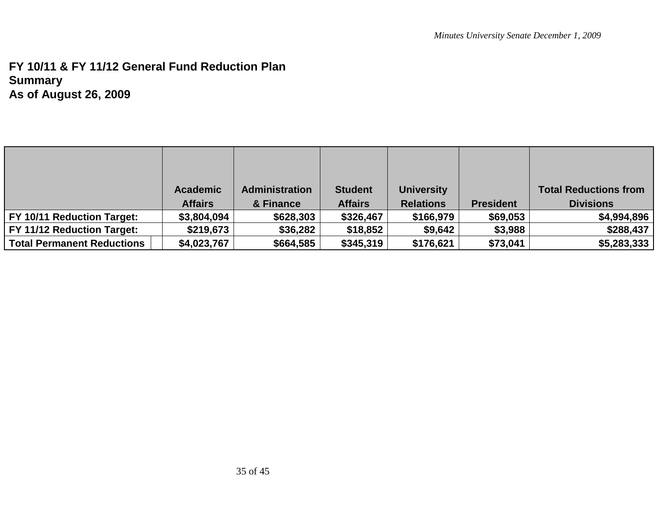## **FY 10/11 & FY 11/12 General Fund Reduction Plan Summary As of August 26, 2009**

|                                   | <b>Academic</b> | Administration | <b>Student</b> | <b>University</b> |                  | <b>Total Reductions from</b> |
|-----------------------------------|-----------------|----------------|----------------|-------------------|------------------|------------------------------|
|                                   | <b>Affairs</b>  | & Finance      | <b>Affairs</b> | <b>Relations</b>  | <b>President</b> | <b>Divisions</b>             |
| <b>FY 10/11 Reduction Target:</b> | \$3,804,094     | \$628,303      | \$326,467      | \$166,979         | \$69,053         | \$4,994,896                  |
| <b>FY 11/12 Reduction Target:</b> | \$219,673       | \$36,282       | \$18,852       | \$9,642           | \$3,988          | \$288,437                    |
| Total Permanent Reductions        | \$4,023,767     | \$664,585      | \$345,319      | \$176,621         | \$73,041         | \$5,283,333                  |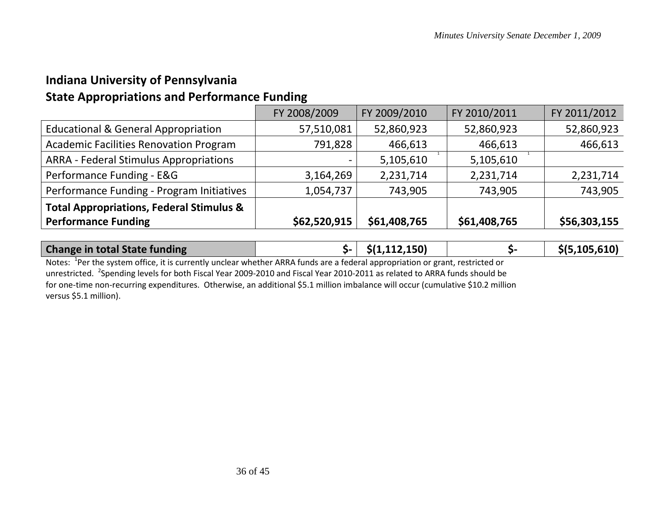## **Indiana University of Pennsylvania**

## **State Appropriations and Performance Funding**

|                                                     | FY 2008/2009 | FY 2009/2010 | FY 2010/2011 | FY 2011/2012 |
|-----------------------------------------------------|--------------|--------------|--------------|--------------|
| <b>Educational &amp; General Appropriation</b>      | 57,510,081   | 52,860,923   | 52,860,923   | 52,860,923   |
| <b>Academic Facilities Renovation Program</b>       | 791,828      | 466,613      | 466,613      | 466,613      |
| <b>ARRA - Federal Stimulus Appropriations</b>       |              | 5,105,610    | 5,105,610    |              |
| Performance Funding - E&G                           | 3,164,269    | 2,231,714    | 2,231,714    | 2,231,714    |
| Performance Funding - Program Initiatives           | 1,054,737    | 743,905      | 743,905      | 743,905      |
| <b>Total Appropriations, Federal Stimulus &amp;</b> |              |              |              |              |
| <b>Performance Funding</b>                          | \$62,520,915 | \$61,408,765 | \$61,408,765 | \$56,303,155 |
|                                                     |              |              |              |              |

| <b>Change in total State funding</b> | $\zeta$ - $\zeta$ (1,112,150) | \$(5,105,610) |
|--------------------------------------|-------------------------------|---------------|

Notes: <sup>1</sup>Per the system office, it is currently unclear whether ARRA funds are a federal appropriation or grant, restricted or unrestricted. <sup>2</sup>Spending levels for both Fiscal Year 2009-2010 and Fiscal Year 2010-2011 as related to ARRA funds should be for one-time non-recurring expenditures. Otherwise, an additional \$5.1 million imbalance will occur (cumulative \$10.2 million versus \$5.1 million).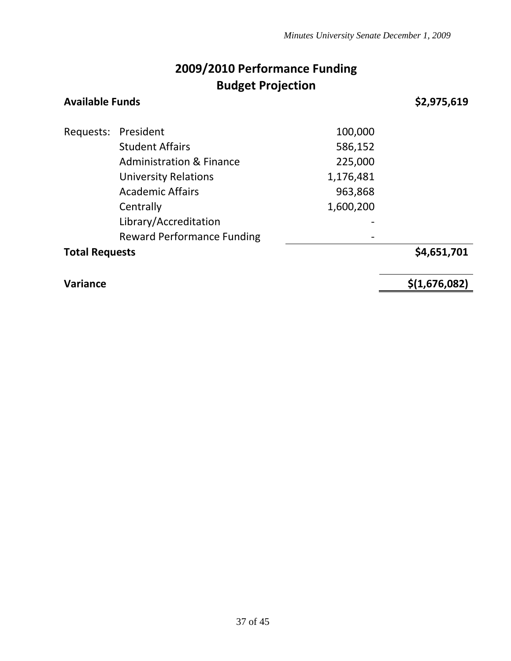## **2009/2010 Performance Funding Budget Projection**

| <b>Available Funds</b> |                                     |           | \$2,975,619 |
|------------------------|-------------------------------------|-----------|-------------|
|                        | Requests: President                 | 100,000   |             |
|                        | <b>Student Affairs</b>              | 586,152   |             |
|                        | <b>Administration &amp; Finance</b> | 225,000   |             |
|                        | <b>University Relations</b>         | 1,176,481 |             |
|                        | <b>Academic Affairs</b>             | 963,868   |             |
|                        | Centrally                           | 1,600,200 |             |
|                        | Library/Accreditation               |           |             |
|                        | <b>Reward Performance Funding</b>   |           |             |

**Total Requests \$4,651,701** 

**Variance \$(1,676,082)**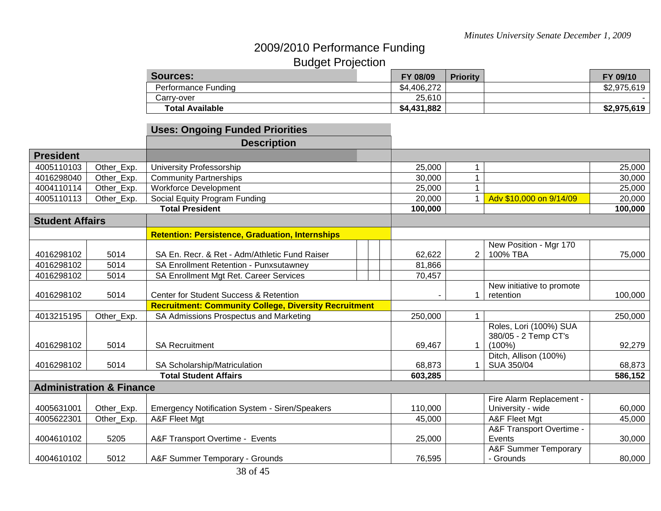## 2009/2010 Performance Funding Budget Projection

| <b>Sources:</b>        | FY 08/09    | <b>Priority</b> | FY 09/10    |
|------------------------|-------------|-----------------|-------------|
| Performance Funding    | \$4,406,272 |                 | \$2,975,619 |
| Carry-over             | 25,610      |                 |             |
| <b>Total Available</b> | \$4,431,882 |                 | \$2,975,619 |

## **Uses: Ongoing Funded Priorities**

|                        |                                     | <b>Description</b>                                           |                   |                |                                 |                   |
|------------------------|-------------------------------------|--------------------------------------------------------------|-------------------|----------------|---------------------------------|-------------------|
| <b>President</b>       |                                     |                                                              |                   |                |                                 |                   |
| 4005110103             | Other_Exp.                          | University Professorship                                     | 25,000            | 1              |                                 | 25,000            |
| 4016298040             | Other_Exp.                          | <b>Community Partnerships</b>                                | 30,000            |                |                                 | 30,000            |
| 4004110114             | Other_Exp.                          | <b>Workforce Development</b>                                 | 25,000            |                |                                 | 25,000            |
| 4005110113             | Other Exp.                          | Social Equity Program Funding                                | 20,000            |                | Adv \$10,000 on 9/14/09         | 20,000            |
|                        |                                     | <b>Total President</b>                                       | 100,000           |                |                                 | 100,000           |
| <b>Student Affairs</b> |                                     |                                                              |                   |                |                                 |                   |
|                        |                                     | <b>Retention: Persistence, Graduation, Internships</b>       |                   |                |                                 |                   |
|                        |                                     |                                                              |                   |                | New Position - Mgr 170          |                   |
| 4016298102             | 5014                                | SA En. Recr. & Ret - Adm/Athletic Fund Raiser                | 62,622            | $\overline{2}$ | 100% TBA                        | 75,000            |
| 4016298102             | 5014                                | SA Enrollment Retention - Punxsutawney                       | 81,866            |                |                                 |                   |
| 4016298102             | 5014                                | SA Enrollment Mgt Ret. Career Services                       | 70,457            |                |                                 |                   |
|                        |                                     |                                                              |                   |                | New initiative to promote       |                   |
| 4016298102             | 5014                                | Center for Student Success & Retention                       |                   |                | retention                       | 100,000           |
|                        |                                     | <b>Recruitment: Community College, Diversity Recruitment</b> |                   |                |                                 |                   |
| 4013215195             | Other_Exp.                          | SA Admissions Prospectus and Marketing                       | 250,000           |                |                                 | 250,000           |
|                        |                                     |                                                              |                   |                | Roles, Lori (100%) SUA          |                   |
|                        |                                     |                                                              |                   |                | 380/05 - 2 Temp CT's            |                   |
| 4016298102             | 5014                                | <b>SA Recruitment</b>                                        | 69,467            |                | $(100\%)$                       | 92,279            |
|                        |                                     |                                                              |                   |                | Ditch, Allison (100%)           |                   |
| 4016298102             | 5014                                | SA Scholarship/Matriculation<br><b>Total Student Affairs</b> | 68,873<br>603,285 |                | SUA 350/04                      | 68,873<br>586,152 |
|                        |                                     |                                                              |                   |                |                                 |                   |
|                        | <b>Administration &amp; Finance</b> |                                                              |                   |                |                                 |                   |
|                        |                                     |                                                              |                   |                | Fire Alarm Replacement -        |                   |
| 4005631001             | Other_Exp.                          | <b>Emergency Notification System - Siren/Speakers</b>        | 110,000           |                | University - wide               | 60,000            |
| 4005622301             | Other_Exp.                          | A&F Fleet Mgt                                                | 45,000            |                | A&F Fleet Mgt                   | 45,000            |
|                        |                                     |                                                              |                   |                | A&F Transport Overtime -        |                   |
| 4004610102             | 5205                                | A&F Transport Overtime - Events                              | 25,000            |                | Events                          | 30,000            |
|                        |                                     |                                                              |                   |                | <b>A&amp;F Summer Temporary</b> |                   |
| 4004610102             | 5012                                | A&F Summer Temporary - Grounds                               | 76,595            |                | - Grounds                       | 80,000            |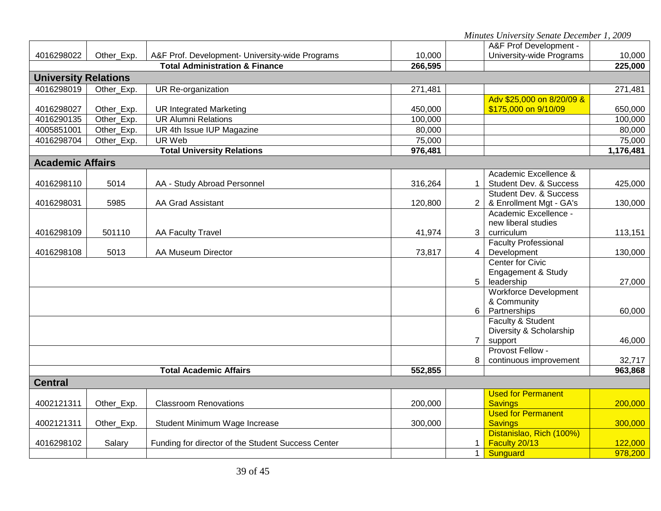*Minutes University Senate December 1, 2009*

|                                                      |            |                                                    |         |                | A&F Prof Development -                      |           |
|------------------------------------------------------|------------|----------------------------------------------------|---------|----------------|---------------------------------------------|-----------|
| 4016298022                                           | Other Exp. | A&F Prof. Development- University-wide Programs    | 10,000  |                | University-wide Programs                    | 10,000    |
| <b>Total Administration &amp; Finance</b><br>266,595 |            |                                                    |         | 225,000        |                                             |           |
| <b>University Relations</b>                          |            |                                                    |         |                |                                             |           |
| 4016298019                                           | Other Exp. | UR Re-organization                                 | 271,481 |                |                                             | 271,481   |
|                                                      |            |                                                    |         |                | Adv \$25,000 on 8/20/09 &                   |           |
| 4016298027                                           | Other_Exp. | <b>UR Integrated Marketing</b>                     | 450,000 |                | \$175,000 on 9/10/09                        | 650,000   |
| 4016290135                                           | Other_Exp. | <b>UR Alumni Relations</b>                         | 100,000 |                |                                             | 100,000   |
| 4005851001                                           | Other_Exp. | UR 4th Issue IUP Magazine                          | 80,000  |                |                                             | 80,000    |
| 4016298704                                           | Other_Exp. | UR Web                                             | 75,000  |                |                                             | 75,000    |
|                                                      |            | <b>Total University Relations</b>                  | 976,481 |                |                                             | 1,176,481 |
| <b>Academic Affairs</b>                              |            |                                                    |         |                |                                             |           |
|                                                      |            |                                                    |         |                | Academic Excellence &                       |           |
| 4016298110                                           | 5014       | AA - Study Abroad Personnel                        | 316,264 |                | <b>Student Dev. &amp; Success</b>           | 425,000   |
|                                                      |            |                                                    |         |                | <b>Student Dev. &amp; Success</b>           |           |
| 4016298031                                           | 5985       | <b>AA Grad Assistant</b>                           | 120,800 |                | & Enrollment Mgt - GA's                     | 130,000   |
|                                                      |            |                                                    |         |                | Academic Excellence -                       |           |
|                                                      |            |                                                    |         |                | new liberal studies                         |           |
| 4016298109                                           | 501110     | AA Faculty Travel                                  | 41,974  | 3              | curriculum                                  | 113,151   |
|                                                      | 5013       | AA Museum Director                                 |         |                | <b>Faculty Professional</b>                 |           |
| 4016298108                                           |            |                                                    | 73,817  | 4              | Development<br><b>Center for Civic</b>      | 130,000   |
|                                                      |            |                                                    |         |                | Engagement & Study                          |           |
|                                                      |            |                                                    |         | 5              | leadership                                  | 27,000    |
|                                                      |            |                                                    |         |                | <b>Workforce Development</b>                |           |
|                                                      |            |                                                    |         |                | & Community                                 |           |
|                                                      |            |                                                    |         | 6 <sup>1</sup> | Partnerships                                | 60,000    |
|                                                      |            |                                                    |         |                | Faculty & Student                           |           |
|                                                      |            |                                                    |         |                | Diversity & Scholarship                     |           |
|                                                      |            |                                                    |         | $\overline{7}$ | support                                     | 46,000    |
|                                                      |            |                                                    |         |                | Provost Fellow -                            |           |
|                                                      |            |                                                    |         | 8              | continuous improvement                      | 32,717    |
|                                                      |            | <b>Total Academic Affairs</b>                      | 552,855 |                |                                             | 963,868   |
| <b>Central</b>                                       |            |                                                    |         |                |                                             |           |
|                                                      |            |                                                    |         |                | <b>Used for Permanent</b>                   |           |
| 4002121311                                           | Other_Exp. | <b>Classroom Renovations</b>                       | 200,000 |                | <b>Savings</b>                              | 200,000   |
| 4002121311                                           |            |                                                    |         |                | <b>Used for Permanent</b><br><b>Savings</b> | 300,000   |
|                                                      | Other_Exp. | Student Minimum Wage Increase                      | 300,000 |                | Distanislao, Rich (100%)                    |           |
| 4016298102                                           | Salary     | Funding for director of the Student Success Center |         |                | Faculty 20/13                               | 122,000   |
|                                                      |            |                                                    |         | $1 \mid$       | Sunguard                                    | 978,200   |
|                                                      |            |                                                    |         |                |                                             |           |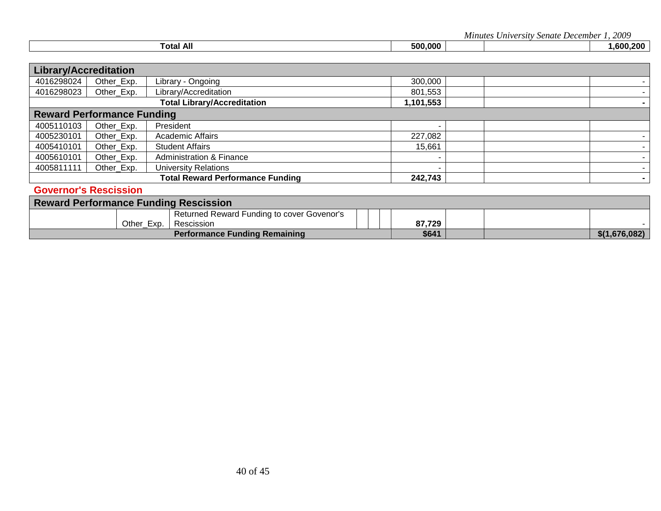*Minutes University Senate December 1, 2009*

| ⊺otal | 500.000 |  | .600<br>.200 |
|-------|---------|--|--------------|
|       |         |  |              |

| <b>Library/Accreditation</b> |                                   |                                         |           |  |
|------------------------------|-----------------------------------|-----------------------------------------|-----------|--|
| 4016298024                   | Other_Exp.                        | Library - Ongoing                       | 300,000   |  |
| 4016298023                   | Other_Exp.                        | Library/Accreditation                   | 801,553   |  |
|                              |                                   | <b>Total Library/Accreditation</b>      | 1,101,553 |  |
|                              | <b>Reward Performance Funding</b> |                                         |           |  |
| 4005110103                   | Other Exp.                        | President                               |           |  |
| 4005230101                   | Other_Exp.                        | <b>Academic Affairs</b>                 | 227,082   |  |
| 4005410101                   | Other_Exp.                        | <b>Student Affairs</b>                  | 15,661    |  |
| 4005610101                   | Other_Exp.                        | <b>Administration &amp; Finance</b>     |           |  |
| 4005811111                   | Other_Exp.                        | <b>University Relations</b>             |           |  |
|                              |                                   | <b>Total Reward Performance Funding</b> | 242,743   |  |
|                              | <b>Governor's Rescission</b>      |                                         |           |  |

| <b>Reward Performance Funding Rescission</b> |            |                                            |        |               |
|----------------------------------------------|------------|--------------------------------------------|--------|---------------|
|                                              |            | Returned Reward Funding to cover Govenor's |        |               |
|                                              | Other Exp. | Rescission                                 | 87,729 |               |
|                                              |            | <b>Performance Funding Remaining</b>       | \$641  | \$(1,676,082) |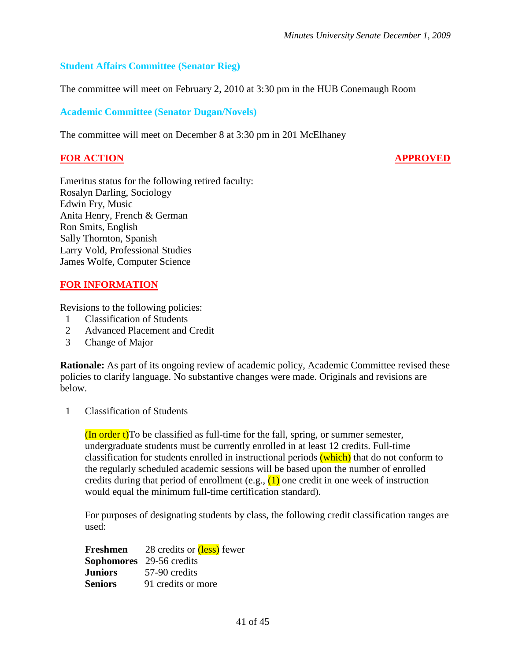#### **Student Affairs Committee (Senator Rieg)**

The committee will meet on February 2, 2010 at 3:30 pm in the HUB Conemaugh Room

#### **Academic Committee (Senator Dugan/Novels)**

The committee will meet on December 8 at 3:30 pm in 201 McElhaney

#### **FOR ACTION APPROVED**

Emeritus status for the following retired faculty: Rosalyn Darling, Sociology Edwin Fry, Music Anita Henry, French & German Ron Smits, English Sally Thornton, Spanish Larry Vold, Professional Studies James Wolfe, Computer Science

#### **FOR INFORMATION**

Revisions to the following policies:

- 1 Classification of Students
- 2 Advanced Placement and Credit
- 3 Change of Major

**Rationale:** As part of its ongoing review of academic policy, Academic Committee revised these policies to clarify language. No substantive changes were made. Originals and revisions are below.

1 Classification of Students

 $($ In order t $)$ To be classified as full-time for the fall, spring, or summer semester, undergraduate students must be currently enrolled in at least 12 credits. Full-time classification for students enrolled in instructional periods (which) that do not conform to the regularly scheduled academic sessions will be based upon the number of enrolled credits during that period of enrollment (e.g.,  $(1)$ ) one credit in one week of instruction would equal the minimum full-time certification standard).

For purposes of designating students by class, the following credit classification ranges are used:

| Freshmen       | 28 credits or (less) fewer      |
|----------------|---------------------------------|
|                | <b>Sophomores</b> 29-56 credits |
| <b>Juniors</b> | 57-90 credits                   |
| <b>Seniors</b> | 91 credits or more              |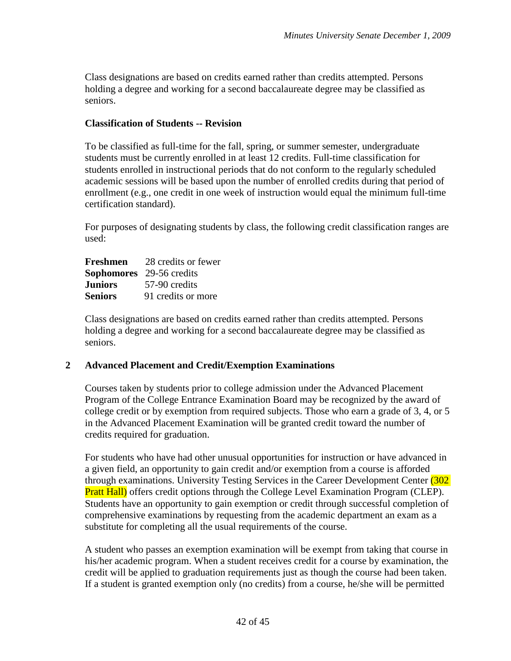Class designations are based on credits earned rather than credits attempted. Persons holding a degree and working for a second baccalaureate degree may be classified as seniors.

#### **Classification of Students -- Revision**

To be classified as full-time for the fall, spring, or summer semester, undergraduate students must be currently enrolled in at least 12 credits. Full-time classification for students enrolled in instructional periods that do not conform to the regularly scheduled academic sessions will be based upon the number of enrolled credits during that period of enrollment (e.g., one credit in one week of instruction would equal the minimum full-time certification standard).

For purposes of designating students by class, the following credit classification ranges are used:

| Freshmen | 28 credits or fewer             |
|----------|---------------------------------|
|          | <b>Sophomores</b> 29-56 credits |
| Juniors  | 57-90 credits                   |
| Seniors  | 91 credits or more              |

Class designations are based on credits earned rather than credits attempted. Persons holding a degree and working for a second baccalaureate degree may be classified as seniors.

#### **2 Advanced Placement and Credit/Exemption Examinations**

Courses taken by students prior to college admission under the Advanced Placement Program of the College Entrance Examination Board may be recognized by the award of college credit or by exemption from required subjects. Those who earn a grade of 3, 4, or 5 in the Advanced Placement Examination will be granted credit toward the number of credits required for graduation.

For students who have had other unusual opportunities for instruction or have advanced in a given field, an opportunity to gain credit and/or exemption from a course is afforded through examinations. University Testing Services in the Career Development Center (302 **Pratt Hall)** offers credit options through the College Level Examination Program (CLEP). Students have an opportunity to gain exemption or credit through successful completion of comprehensive examinations by requesting from the academic department an exam as a substitute for completing all the usual requirements of the course.

A student who passes an exemption examination will be exempt from taking that course in his/her academic program. When a student receives credit for a course by examination, the credit will be applied to graduation requirements just as though the course had been taken. If a student is granted exemption only (no credits) from a course, he/she will be permitted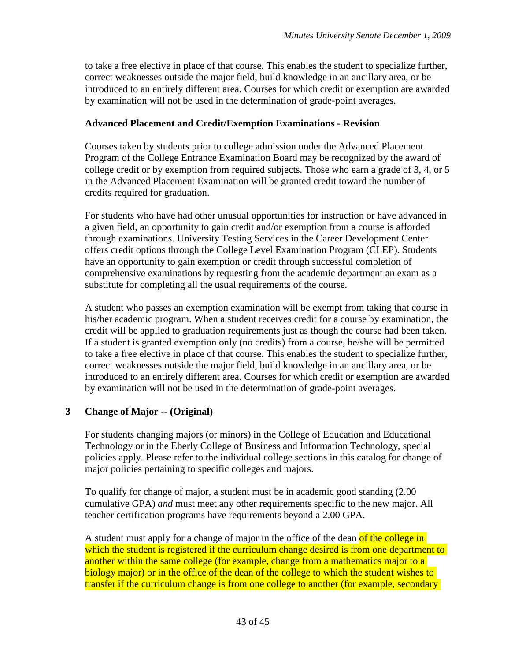to take a free elective in place of that course. This enables the student to specialize further, correct weaknesses outside the major field, build knowledge in an ancillary area, or be introduced to an entirely different area. Courses for which credit or exemption are awarded by examination will not be used in the determination of grade-point averages.

#### **Advanced Placement and Credit/Exemption Examinations - Revision**

Courses taken by students prior to college admission under the Advanced Placement Program of the College Entrance Examination Board may be recognized by the award of college credit or by exemption from required subjects. Those who earn a grade of 3, 4, or 5 in the Advanced Placement Examination will be granted credit toward the number of credits required for graduation.

For students who have had other unusual opportunities for instruction or have advanced in a given field, an opportunity to gain credit and/or exemption from a course is afforded through examinations. University Testing Services in the Career Development Center offers credit options through the College Level Examination Program (CLEP). Students have an opportunity to gain exemption or credit through successful completion of comprehensive examinations by requesting from the academic department an exam as a substitute for completing all the usual requirements of the course.

A student who passes an exemption examination will be exempt from taking that course in his/her academic program. When a student receives credit for a course by examination, the credit will be applied to graduation requirements just as though the course had been taken. If a student is granted exemption only (no credits) from a course, he/she will be permitted to take a free elective in place of that course. This enables the student to specialize further, correct weaknesses outside the major field, build knowledge in an ancillary area, or be introduced to an entirely different area. Courses for which credit or exemption are awarded by examination will not be used in the determination of grade-point averages.

#### **3 Change of Major -- (Original)**

For students changing majors (or minors) in the College of Education and Educational Technology or in the Eberly College of Business and Information Technology, special policies apply. Please refer to the individual college sections in this catalog for change of major policies pertaining to specific colleges and majors.

To qualify for change of major, a student must be in academic good standing (2.00 cumulative GPA) *and* must meet any other requirements specific to the new major. All teacher certification programs have requirements beyond a 2.00 GPA.

A student must apply for a change of major in the office of the dean of the college in which the student is registered if the curriculum change desired is from one department to another within the same college (for example, change from a mathematics major to a biology major) or in the office of the dean of the college to which the student wishes to transfer if the curriculum change is from one college to another (for example, secondary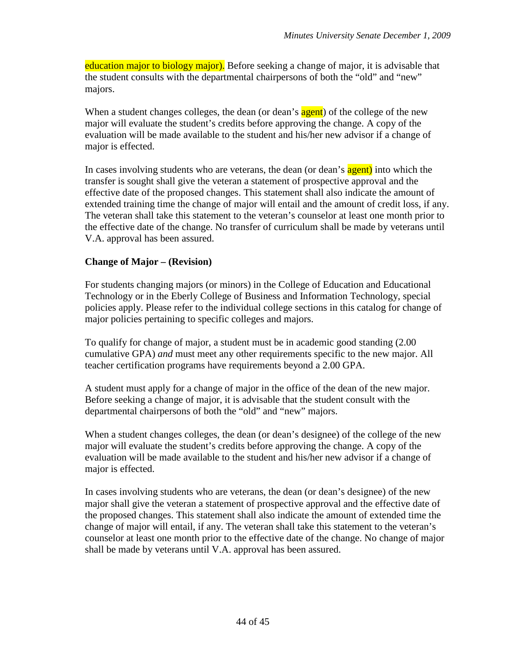education major to biology major). Before seeking a change of major, it is advisable that the student consults with the departmental chairpersons of both the "old" and "new" majors.

When a student changes colleges, the dean (or dean's **agent**) of the college of the new major will evaluate the student's credits before approving the change. A copy of the evaluation will be made available to the student and his/her new advisor if a change of major is effected.

In cases involving students who are veterans, the dean (or dean's agent) into which the transfer is sought shall give the veteran a statement of prospective approval and the effective date of the proposed changes. This statement shall also indicate the amount of extended training time the change of major will entail and the amount of credit loss, if any. The veteran shall take this statement to the veteran's counselor at least one month prior to the effective date of the change. No transfer of curriculum shall be made by veterans until V.A. approval has been assured.

#### **Change of Major – (Revision)**

For students changing majors (or minors) in the College of Education and Educational Technology or in the Eberly College of Business and Information Technology, special policies apply. Please refer to the individual college sections in this catalog for change of major policies pertaining to specific colleges and majors.

To qualify for change of major, a student must be in academic good standing (2.00 cumulative GPA) *and* must meet any other requirements specific to the new major. All teacher certification programs have requirements beyond a 2.00 GPA.

A student must apply for a change of major in the office of the dean of the new major. Before seeking a change of major, it is advisable that the student consult with the departmental chairpersons of both the "old" and "new" majors.

When a student changes colleges, the dean (or dean's designee) of the college of the new major will evaluate the student's credits before approving the change. A copy of the evaluation will be made available to the student and his/her new advisor if a change of major is effected.

In cases involving students who are veterans, the dean (or dean's designee) of the new major shall give the veteran a statement of prospective approval and the effective date of the proposed changes. This statement shall also indicate the amount of extended time the change of major will entail, if any. The veteran shall take this statement to the veteran's counselor at least one month prior to the effective date of the change. No change of major shall be made by veterans until V.A. approval has been assured.